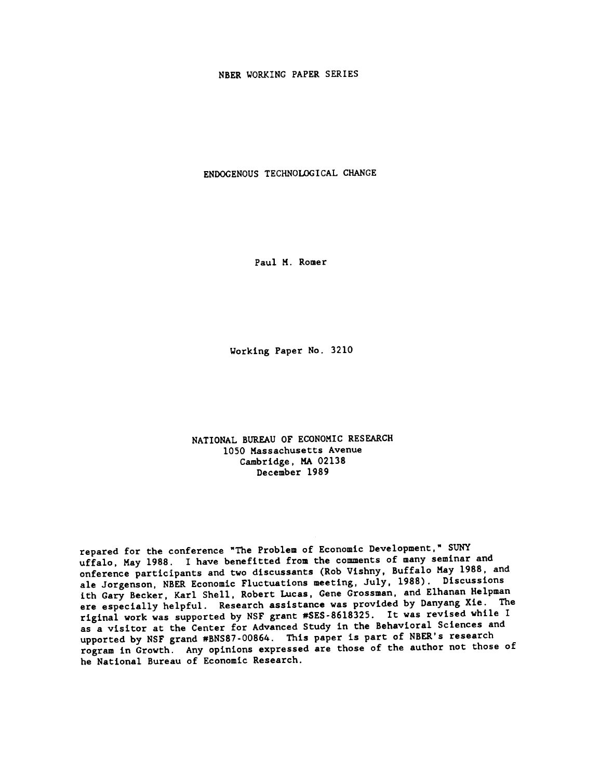#### NBER WORKING PAPER SERIES

ENDOCENOUS TECHNOLOGICAL CHANGE

Paul M. Romer

Working Paper No. 3210

NATIONAL BUREAU OF ECONOMIC RESEARCH 1050 Massachusetts Avenue Cambridge, MA 02138 December 1989

repared for the conference "The Problem of Economic Development," SUNY uffalo, May 1988. 1 have benefitted from the comments of many seminar and onference participants and two discussants (Rob Vishny, Buffalo May 1988, and ale Jorgenson, NBER Economic Fluctuations meeting, July, 1988). Discussions Ith Gary Becker, Karl Shell, Robert Lucas, Gene Grossman, and Elhanan Helpman ere especially helpful. Research assistance was provided by Danyang Xie. The riginal work was supported by NSF grant #SES-8618325. It was revised while I as a visitor at the Center for Advanced Study in the Behavioral Sciences and upported by NSF grand #BNS87-00864. This paper is part of NBER's research rogram in Growth. Any opinions expressed are those of the author not those of he National Bureau of Economic Research.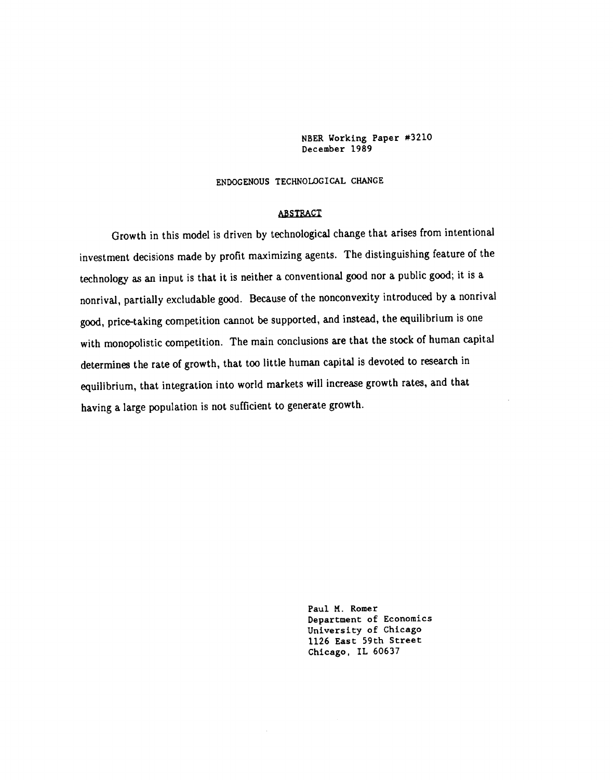NBER Working Paper #3210 December 1989

### ENDOGENOUS TECHNOLOGICAL CHANGE

#### ABSTRACT

Growth in this model is driven by technological change that arises from intentional investment decisions made by profit maximizing agents. The distinguishing feature of the technology as an input is that it is neither a conventional good nor a public good; it is a nonrival, partially excludable good. Because of the nonconvexity introduced by a nonrival good, price-taking competition cannot be supported, and instead, the equilibriumis one with monopolistic competition. The main conclusions are that the stock of human capital determines the rate of growth, that too little human capital is devoted to research in equilibrium, that integration into world markets will increase growth rates, and that having a large population is not sufficient to generate growth.

> Paul M. Romer Department of Economics University of Chicago 1126 East 59th Street Chicago, IL 60637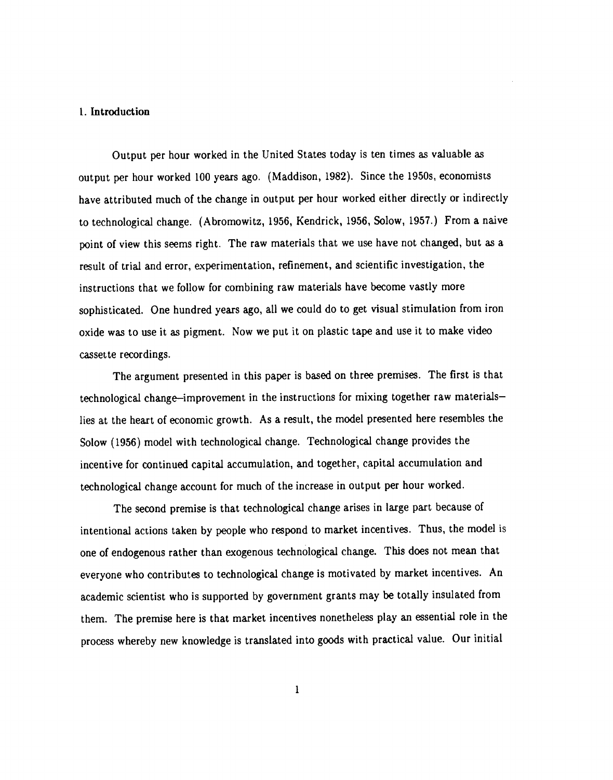### I. Introduction

Output per hour worked in the United States today is ten times as valuable as output per hour worked 100 years ago. (Maddison, 1982). Since the 1950s, economists have attributed much of the change in output per hour worked either directly or indirectly to technological change. (Abromowitz, 1956, Kendrick, 1956, Solow, 1957.) From a naive point of view this seems right. The raw materials that we use have not changed, but as a result of trial and error, experimentation, refinement, and scientific investigation, the instructions that we follow for combining raw materials have become vastly more sophisticated. One hundred years ago, all we could do to get visual stimulation from iron oxide was to use it as pigment. Now we put it on plastic tape and use it to make video cassette recordings.

The argument presented in this paper is based on three premises. The first is that technological change—improvement in the instructions for mixing together raw materials lies at the heart of economic growth. As a result, the model presented here resembles the Solow (1956) model with technological change. Technological change provides the incentive for continued capital accumulation, and together, capital accumulation and technological change account for much of the increase in output per hour worked.

The second premise is that technological change arises in large part because of intentional actions taken by people who respond to market incentives. Thus, the model is one of endogenous rather than exogenous technological change. This does not mean that everyone who contributes to technological change is motivated by market incentives. An academic scientist who is supported by government grants may be totally insulated from them. The premise here is that market incentives nonetheless play an essential role in the process whereby new knowledge is translated into goods with practical value. Our initial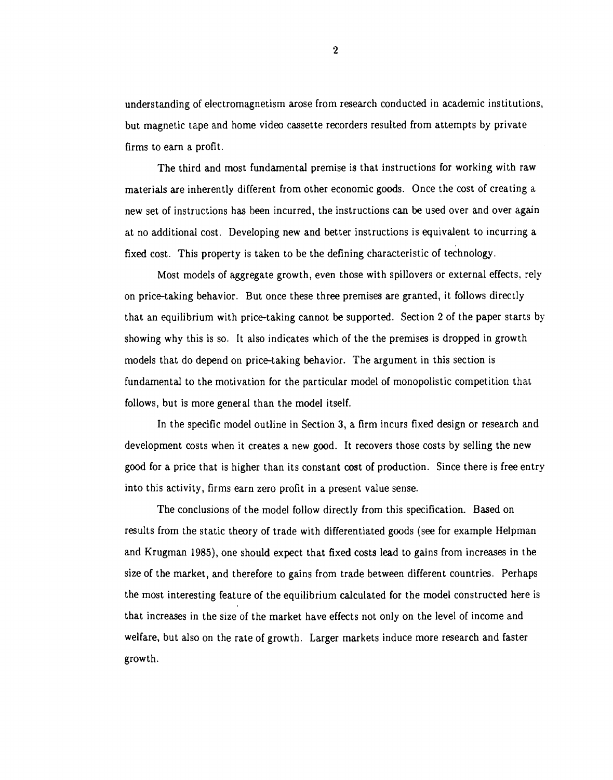understanding of electromagnetism arose from research conducted in academic institutions, but magnetic tape and home video cassette recorders resulted from attempts by private firms to earn a profit.

The third and most fundamental premise is that instructions for working with raw materials are inherently different from other economic goods. Once the cost of creating a new set of instructions has been incurred, the instructions can be used over and over again at no additional cost. Developing new and better instructions is equivalent to incurring a fixed cost. This property is taken to be the defining characteristic of technology.

Most models of aggregate growth, even those with spillovers or external effects, rely on price-taking behavior. But once these three premises are granted, it follows directly that an equilibrium with price-taking cannot be supported. Section 2 of the paper starts by showing why this is so. It also indicates which of the the premises is dropped in growth models that do depend on price-taking behavior. The argument in this section is fundamental to the motivation for the particular model of monopolistic competition that follows, but is more general than the model itself.

In the specific model outline in Section 3, a firm incurs fixed design or research and development costs when it creates a new good. It recovers those costs by selling the new good for a price that is higher than its constant cost of production. Since there is free entry into this activity, firms earn zero profit in a present value sense.

The conclusions of the model follow directly from this specification. Based on results from the static theory of trade with differentiated goods (see for example Helpman and Krugman 1985), one should expect that fixed costs lead to gains from increases in the size of the market, and therefore to gains from trade between different countries. Perhaps the most interesting feature of the equilibrium calculated for the model constructed here is that increases in the size of the market have effects not only on the level of income and welfare, but also on the rate of growth. Larger markets induce more research and faster growth.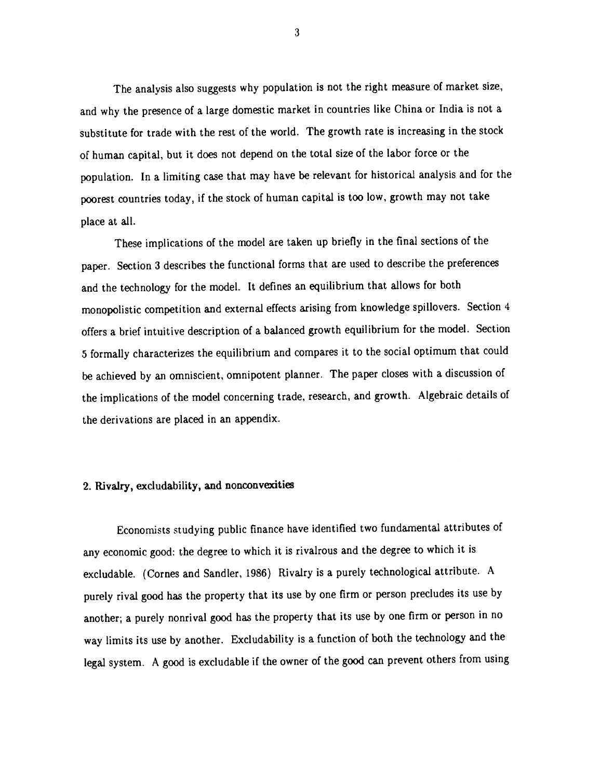The analysis also suggests why population is not the right measure of market size, and why the presence of a large domestic market in countries like China or India is not a substitute for trade with the rest of the world. The growth rate is increasing in the stock of human capital, but it does not depend on the total size of the labor force or the population. In a limiting case that may have be relevant for historical analysis and for the poorest countries today, if the stock of human capital is too low, growth may not take place at all.

These implications of the model are taken up briefly in the final sections of the paper. Section 3 describes the functional forms that are used to describe the preferences and the technology for the model. It defines an equilibrium that allows for both monopolistic competition and external effects arising from knowledge spillovers. Section 4 offers a brief intuitive description of a balanced growth equilibrium for the model. Section 5 formally characterizes the equilibrium and compares it to the social optimum that could be achieved by an omniscient, omnipotent planner. The paper closes with a discussion of the implications of the model concerning trade, research, and growth. Algebraic details of the derivations are placed in an appendix.

## 2. Rivalry, excludability, and nonconvexities

Economists studying public finance have identified two fundamental attributes of any economic good: the degree to which it is rivalrous and the degree to which it is excludable. (Comes and Sandler, 1986) Rivalry is a purely technological attribute. A purely rival good has the property that its use by one firm or person precludes its use by another; a purely nonrival good has the property that its use by one firm or person in no way limits its use by another. Excludability is a function of both the technology and the legal system. A good is excludable if the owner of the good can prevent others from using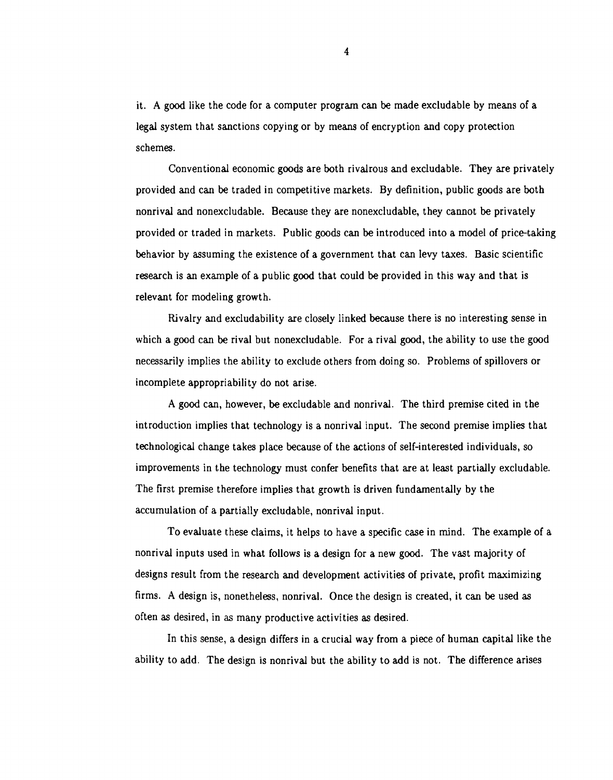it. A good like the code for a computer program can be made excludable by means of a legal system that sanctions copying or by means of encryption and copy protection schemes.

Conventional economic goods are both rivalrous and excludable. They are privately provided and can be traded in competitive markets. By definition, public goods are both nonrival and nonexciudable. Because they are nonexciudable, they cannot be privately provided or traded in markets. Public goods can be introduced into a model of price-taking behavior by assuming the existence of a government that can levy taxes. Basic scientific research is an example of a public good that could be provided in this way and that is relevant for modeling growth.

Rivalry and excludability are closely linked because there is no interesting sense in which a good can be rival but nonexciudable. For a rival good, the ability to use the good necessarily implies the ability to exclude others from doing so. Problems of spillovers or incomplete appropriability do not arise.

A good can, however, be excludable and nonrival. The third premise cited in the introduction implies that technology is a nonrival input. The second premise implies that technological change takes place because of the actions of self-interested individuals, so improvements in the technology must confer benefits that are at least partially excludable. The first premise therefore implies that growth is driven fundamentally by the accumulation of a partially excludable, nonrival input.

To evaluate these claims, it helps to have a specific case in mind. The example of a nonrival inputs used in what follows is a design for a new good. The vast majority of designs result from the research and development activities of private, profit maximizing firms. A design is, nonetheless, nonrival. Once the design is created, it can be used as often as desired, in as many productive activities as desired.

In this sense, a design differs in a crucial way from a piece of human capital like the ability to add. The design is nonrival but the ability to add is not. The difference arises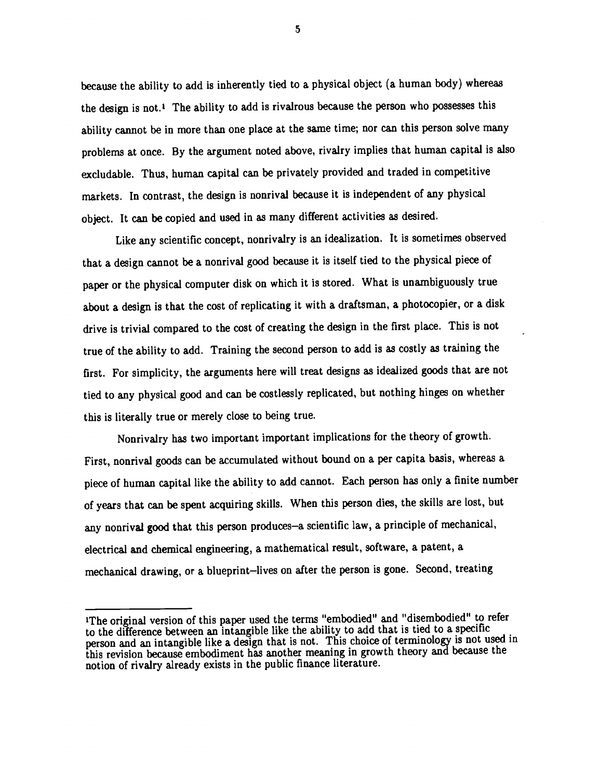because the ability to add is inherently tied to a physical object (a human body) whereas the design is not.<sup>1</sup> The ability to add is rivalrous because the person who possesses this ability cannot be in more than one place at the same time; nor can this person solve many problems at once. By the argument noted above, rivalry implies that human capital is also excludable. Thus, human capital can be privately provided and traded in competitive markets. In contrast, the design is nonrival because it is independent of any physical object. It can be copied and used in as many different activities as desired.

Like any scientific concept, nonrivairy is an idealization. It is sometimes observed that a design cannot be a nonrival good because it is itself tied to the physical piece of paper or the physical computer disk on which it is stored. What is unambiguously true about a design is that the cost of replicating it with a draftsman, a photocopier, or a disk drive is trivial compared to the cost of creating the design in the first place. This is not true of the ability to add. Training the second person to add is as costly as training the first. For simplicity, the arguments here will treat designs as idealized goods that are not tied to any physical good and can be costlessly replicated, but nothing hinges on whether this is literally true or merely close to being true.

Nonrivairy has two important important implications for the theory of growth. First, nonrival goods can be accumulated without bound on a per capita basis, whereas a piece of human capital like the ability to add cannot. Each person has only a finite number of years that can be spent acquiring skills. When this person dies, the skills are lost, but any nonrival good that this person produces—a scientific law, a principle of mechanical, electrical and chemical engineering, a mathematical result, software, a patent, a mechanical drawing, or a blueprint—lives on after the person is gone. Second, treating

<sup>&#</sup>x27;The original version of this paper used the terms "embodied" and "disembodied" to refer to the difference between an intangible like the ability to add that is tied to a specific person and an intangible like a design that is not. This choice of terminology is not used in this revision because embodiment has another meaning in growth theory and because the notion of rivalry already exists in the public finance literature.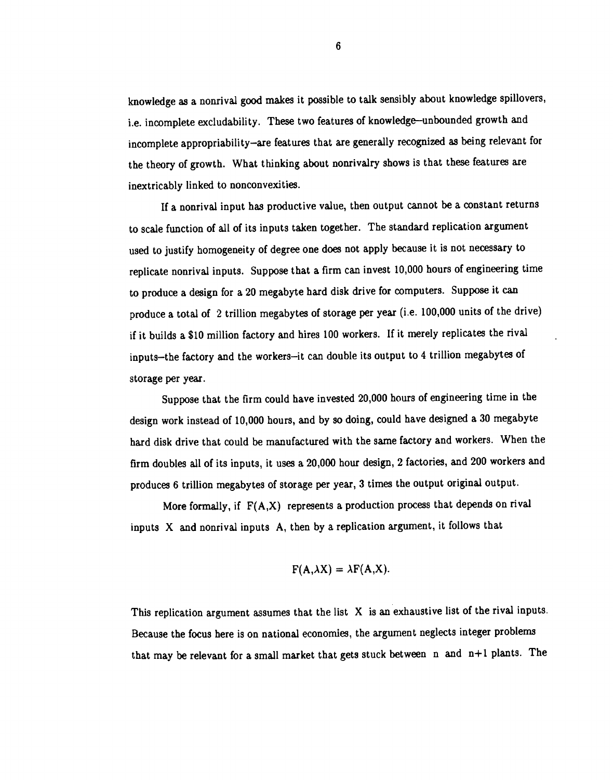knowledge as a nonrival good makes it possible to talk sensibly about knowledge spillovers, i.e. incomplete excludability. These two features of knowledge—unbounded growth and incomplete appropriability—are features that are generally recognized as being relevant for the theory of growth. What thinking about nonrivairy shows is that these features are inextricably linked to nonconvexities.

If a nonrival input has productive value, then output cannot be a constant returns to scale function of all of its inputs taken together. The standard replication argument used to justify homogeneity of degree one does not apply because it is not necessary to replicate nonrival inputs. Suppose that a firm can invest 10,000 hours of engineering time to produce a design for a 20 megabyte hard disk drive for computers. Suppose it can produce a total of 2 trillion megabytes of storage per year (i.e. 100,000 units of the drive) if it builds a \$10 million factory and hires 100 workers. If it merely replicates the rival inputs—the factory and the workers—it can double its output to 4 trillion megabytes of storage per year.

Suppose that the firm could have invested 20,000 hours of engineering time in the design work instead of 10,000 hours, and by so doing, could have designed a 30 megabyte hard disk drive that could be manufactured with the same factory and workers. When the firm doubles all of its inputs, it uses a 20,000 hour design, 2 factories, and 200 workers and produces 6 trillion megabytes of storage per year, 3 times the output original output.

More formally, if  $F(A,X)$  represents a production process that depends on rival inputs X and nonrival inputs A, then by a replication argument, it follows that

$$
F(A,\lambda X)=\lambda F(A,X).
$$

This replication argument assumes that the list X is an exhaustive list of the rival inputs. Because the focus here is on national economies, the argument neglects integer problems that may be relevant for a small market that gets stuck between n and n+1 plants. The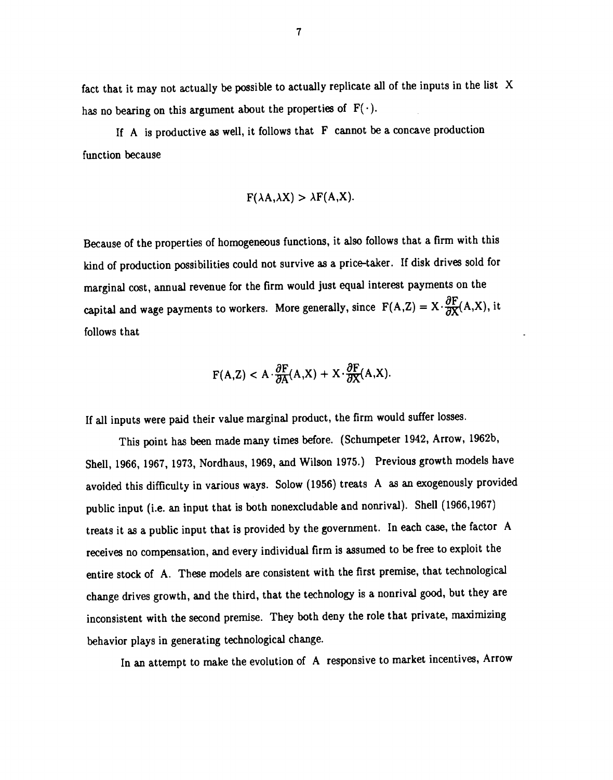fact that it may not actually be possible to actually replicate all of the inputs in the list X has no bearing on this argument about the properties of  $F(\cdot)$ .

If A is productive as well, it follows that F cannot be a concave production function because

$$
F(\lambda A, \lambda X) > \lambda F(A, X).
$$

Because of the properties of homogeneous functions, it also follows that a firm with this kind of production possibilities could not survive as a price-taker. If disk drives sold for marginal cost, annual revenue for the firm would just equal interest payments on the capital and wage payments to workers. More generally, since  $F(A,Z) = X \cdot \frac{\partial F}{\partial X}(A,X)$ , it follows that

$$
F(A,Z) < A \cdot \frac{\partial F}{\partial A}(A,X) + X \cdot \frac{\partial F}{\partial X}(A,X).
$$

If all inputs were paid their value marginal product, the firm would suffer losses.

This point has been made many times before. (Schumpeter 1942, Arrow, 1962b, Shell, 1966, 1967, 1973, Nordhaus, 1969, and Wilson 1975.) Previous growth models have avoided this difficulty in various ways. Solow (1956) treats A as an exogenously provided public input (i.e. an input that is both nonexciudable and nonrival). Shell (1966,1967) treats it as a public input that is provided by the government. In each case, the factor <sup>A</sup> receives no compensation, and every individual firm is assumed to be free to exploit the entire stock of A. These models are consistent with the first premise, that technological change drives growth, and the third, that the technology is a nonrival good, but they are inconsistent with the second premise. They both deny the role that private, maximizing behavior plays in generating technological change.

In an attempt to make the evolution of A responsive to market incentives, Arrow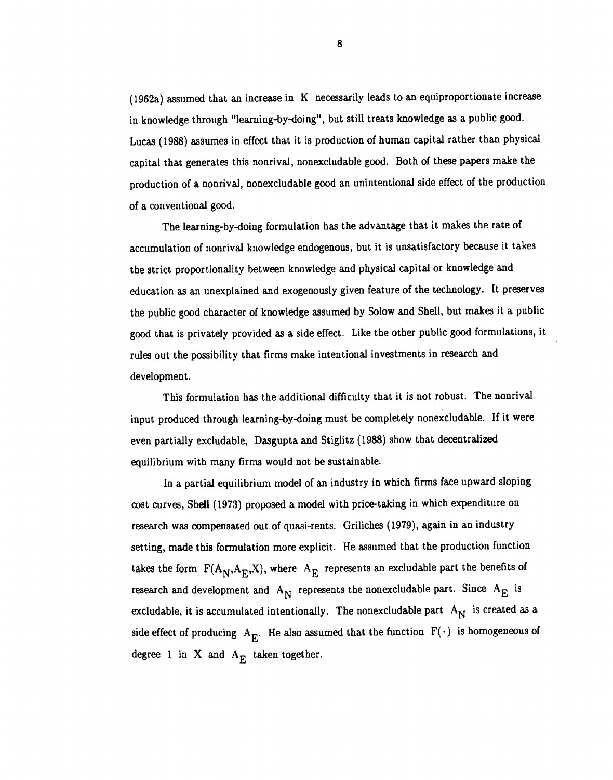(1962a) assumed that an increase in K necessarily leads to an equiproportionate increase in knowledge through "learning-by-doing", but still treats knowledge as a public good. Lucas (1988) assumes in effect that it is production of human capital rather than physical capital that generates this nonrival, nonexciudable good. Both of these papers make the production of a nonrival, nonexcludable good an unintentional side effect of the production of a conventional good.

The learning-by-doing formulation has the advantage that it makes the rate of accumulation of nonrival knowledge endogenous, but it is unsatisfactory because it takes the strict proportionality between knowledge and physical capital or knowledge and education as an unexplained and exogenously given feature of the technology. It preserves the public good character of knowledge assumed by Solow and Shell, but makes it a public good that is privately provided as a side effect. Like the other public good formulations, it rules out the possibility that firms make intentional investments in research and development.

This formulation has the additional difficulty that it is not robust. The nonrival input produced through learning-by-doing must be completely nonexcludable. If it were even partially excludable, Dasgupta and Stiglitz (1988) show that decentralized equilibrium with many firms would not be sustainable.

In a partial equilibrium model of an industry in which firms face upward sloping cost curves, Shell (1973) proposed a model with price-taking in which expenditure on research was compensated out of quasi-rents. Griliches (1979), again in an industry setting, made this formulation more explicit. He assumed that the production function takes the form  $F(A_N, A_E, X)$ , where  $A_E$  represents an excludable part the benefits of research and development and  $A_N$  represents the nonexcludable part. Since  $A_E$  is excludable, it is accumulated intentionally. The nonexcludable part  $A_N$  is created as a side effect of producing  $A_{E}$ . He also assumed that the function  $F(\cdot)$  is homogeneous of degree 1 in X and  $A_{\overline{E}}$  taken together.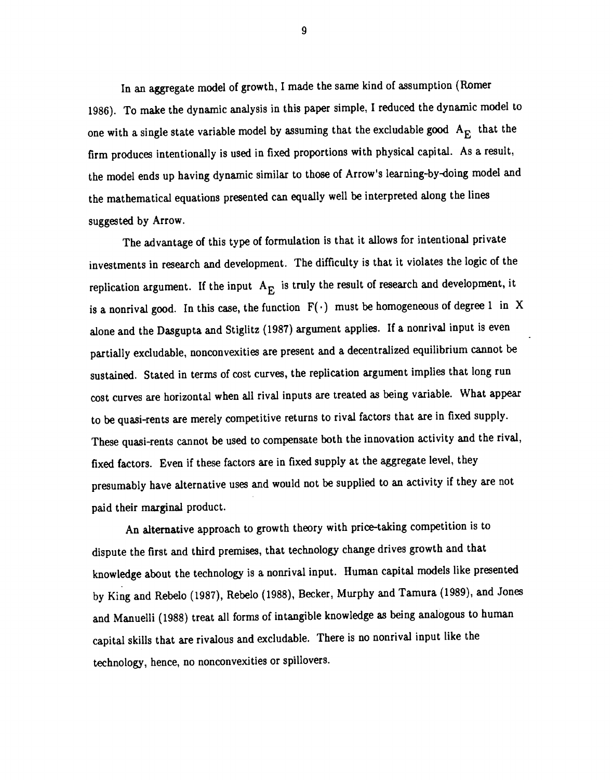In an aggregate model of growth, I made the same kind of assumption (Romer 1986). To make the dynamic analysis in this paper simple, I reduced the dynamic model to one with a single state variable model by assuming that the excludable good  $A_{\overline{E}}$  that the firm produces intentionally is used in fixed proportions with physical capital. As a result, the model ends up having dynamic similar to those of Arrow's learning-by-doing model and the mathematical equations presented can equally well be interpreted along the lines suggested by Arrow.

The advantage of this type of formulation is that it allows for intentional private investments in research and development. The difficulty is that it violates the logic of the replication argument. If the input  $A_{\overline{E}}$  is truly the result of research and development, it is a nonrival good. In this case, the function  $F(\cdot)$  must be homogeneous of degree 1 in X alone and the Dasgupta and Stiglitz (1987) argument applies. If a nonrival input is even partially excludable, nonconvexities are present and a decentralized equilibrium cannot be sustained. Stated in terms of cost curves, the replication argument implies that long run cost curves are horizontal when all rival inputs are treated as being variable. What appear to be quasi-rents are merely competitive returns to rival factors that are in fixed supply. These quasi-rents cannot be used to compensate both the innovation activity and the rival, fixed factors. Even if these factors are in fixed supply at the aggregate level, they presumably have alternative uses and would not be supplied to an activity if they are not paid their marginal product.

An alternative approach to growth theory with price-taking competition is to dispute the first and third premises, that technology change drives growthand that knowledge about the technology is a nonrival input. Human capital models like presented by King and Rebelo (1987), Rebelo (1988), Becker, Murphy and Tamura (1989), and Jones and Manuelli (1988) treat all forms of intangible knowledge as being analogous to human capital skills that are rivalous and excludable. There is no nonrival input like the technology, hence, no nonconvexities or spillovers.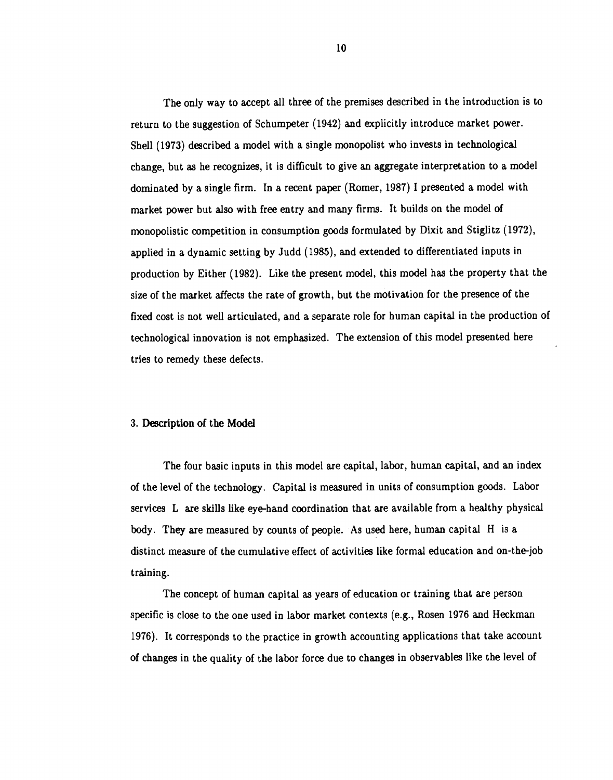The only way to accept all three of the premises described in the introduction is to return to the suggestion of Schumpeter (1942) and explicitly introduce market power. Shell (1973) described a model with a single monopolist who invests in technological change, but as he recognizes, it is difficult to give an aggregate interpretation to a model dominated by a single firm. In a recent paper (Romer, 1987) I presented a model with market power but also with free entry and many firms. It builds on the model of monopolistic competition in consumption goods formulated by Dixit and Stiglitz (1972), applied in a dynamic setting by Judd (1985), and extended to differentiated inputs in production by Either (1982). Like the present model, this model has the property that the size of the market affects the rate of growth, but the motivation for the presence of the fixed cost is not well articulated, and a separate role for human capital in the production of technological innovation is not emphasized. The extension of this model presented here tries to remedy these defects.

### 3. Description of the Model

The four basic inputs in this model are capital, labor, human capital, and an index of the level of the technology. Capital is measured in units of consumption goods. Labor services L are skills like eye-hand coordination that are available from a healthy physical body. They are measured by counts of people. As used here, human capital H is a distinct measure of the cumulative effect of activities like formal education and on-the-job training.

The concept of human capital as years of education or training that are person specific is close to the one used in labor market contexts (e.g., Rosen 1976 and Heckman 1976). It corresponds to the practice in growth accounting applications that take account of changes in the quality of the labor force due to changes in observables like the level of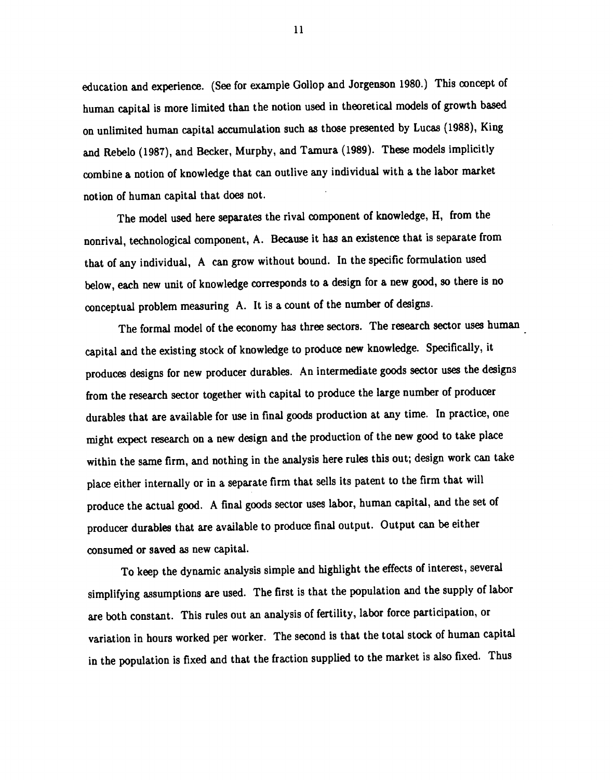education and experience. (See for example Gollop and Jorgenson 1980.) This concept of human capital is more limited than the notion used in theoretical models of growth based on unlimited human capital accumulation such as those presented by Lucas (1988), King and Rebelo (1987), and Becker, Murphy, and Tamura (1989). These models implicitly combine a notion of knowledge that can outlive any individual with a the labor market notion of human capital that does not.

The model used here separates the rival component of knowledge, H, from the nonrival, technological component, A. Because it has an existence that is separate from that of any individual, A can grow without bound. In the specific formulation used below, each new unit of knowledge corresponds to a design for a new good, so there is no conceptual problem measuring A. It is a count of the number of designs.

The formal model of the economy has three sectors. The research sector uses human capital and the existing stock of knowledge to produce new knowledge. Specifically, it produces designs for new producer durables. An intermediate goods sector uses the designs from the research sector together with capital to produce the large number of producer durables that are available for use in final goods production at any time. In practice, one might expect research on a new design and the production of the new good to take place within the same firm, and nothing in the analysis here rules this out; design work can take place either internally or in a separate firm that sells its patent to the firm that will produce the actual good. A final goods sector uses labor, human capital, and the set of producer durables that are available to produce final output. Output can be either consumed or saved as new capital.

To keep the dynamic analysis simple and highlight the effects of interest, several simplifying assumptions are used. The first is that the population and the supply of labor are both constant. This rules out an analysis of fertility, labor force participation, or variation in hours worked per worker. The second is that the total stock of human capital in the population is fixed and that the fraction supplied to the market is alsofixed. Thus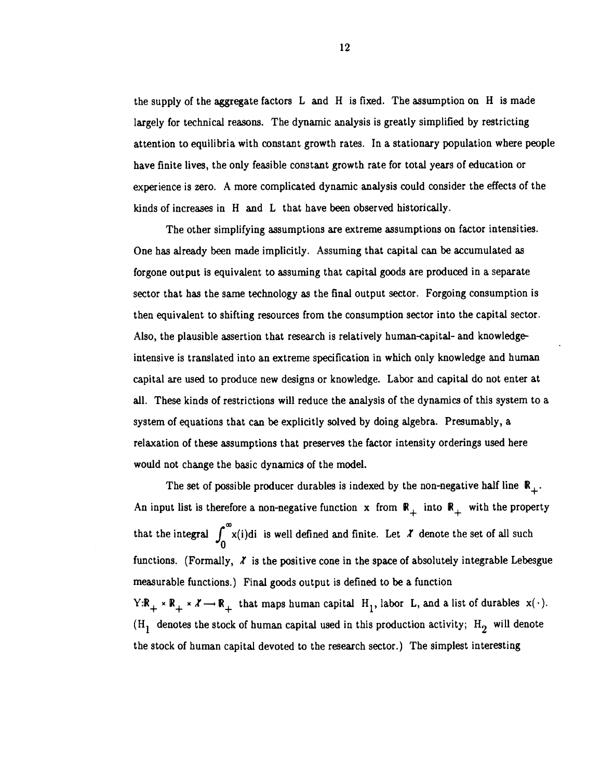the supply of the aggregate factors L and H is fixed. The assumption on H is made largely for technical reasons. The dynamic analysis is greatly simplified by restricting attention to equilibria with constant growth rates. In a stationary population where people have finite lives, the only feasible constant growth rate for total years of education or experience is zero. A more complicated dynamic analysis could consider the effects of the kinds of increases in H and L that have been observed historically.

The other simplifying assumptions are extreme assumptions on factor intensities. One has already been made implicitly. Assuming that capital can be accumulated as forgone output is equivalent to assuming that capital goods are produced in a separate sector that has the same technology as the final output sector. Forgoing consumption is then equivalent to shifting resources from the consumption sector into the capital sector. Also, the plausible assertion that research is relatively human-capital- and knowledge intensive is translated into an extreme specification in which only knowledge and human capital are used to produce new designs or knowledge. Labor and capital do not enter at all. These kinds of restrictions will reduce the analysis of the dynamics of this system to a system of equations that can be explicitly solved by doing algebra. Presumably, a relaxation of these assumptions that preserves the factor intensity orderings used here would not change the basic dynamics of the model.

The set of possible producer durables is indexed by the non-negative half line  $\mathbb{R}_+$ . An input list is therefore a non-negative function x from  $\mathbb{R}_+$  into  $\mathbb{R}_+$  with the property that the integral  $\int_{0}^{\infty} x(i)di$  is well defined and finite. Let  $\chi$  denote the set of all such functions. (Formally,  $\lambda$  is the positive cone in the space of absolutely integrable Lebesgue measurable functions.) Final goods output is defined to be a function  $Y: \mathbb{R}_+ \times \mathbb{R}_+ \times \mathbb{Z} \longrightarrow \mathbb{R}_+$  that maps human capital  $H_1$ , labor L, and a list of durables  $x(\cdot)$ .  $(H_1$  denotes the stock of human capital used in this production activity;  $H_2$  will denote the stock of human capital devoted to the research sector.) The simplest interesting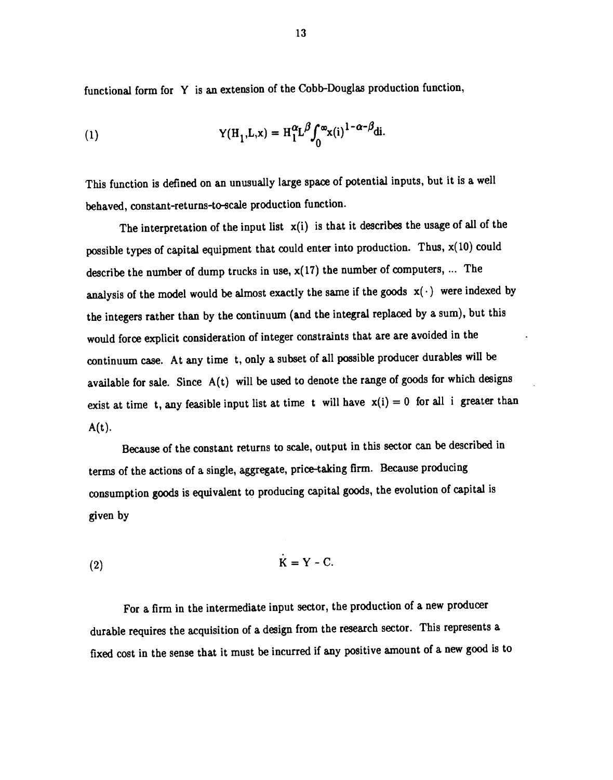functional form for Y is an extension of the Cobb-Douglas production function,

(1) 
$$
Y(H_1, L, x) = H_1^{\alpha} L^{\beta} \int_0^{\infty} x(i)^{1 - \alpha - \beta} di.
$$

This function is defined on an unusually large space of potential inputs, but it is a well behaved, constant-returns-to-scale production function.

The interpretation of the input list  $x(i)$  is that it describes the usage of all of the possible types of capital equipment that could enter into production. Thus,  $x(10)$  could describe the number of dump trucks in use,  $x(17)$  the number of computers, ... The analysis of the model would be almost exactly the same if the goods  $x(\cdot)$  were indexed by the integers rather than by the continuum (and the integral replaced by a sum), but this would force explicit consideration of integer constraints that are are avoided in the continuum case. At any time t, only a subset of all possible producer durables will be available for sale. Since  $A(t)$  will be used to denote the range of goods for which designs exist at time t, any feasible input list at time t will have  $x(i) = 0$  for all i greater than  $A(t)$ .

Because of the constant returns to scale, output in this sector can be described in terms of the actions of a single, aggregate, price-taking firm. Because producing consumption goods is equivalent to producing capital goods, the evolutionof capital is given by

(2) K=Y-C.

For a firm in the intermediate input sector, the production of a new producer durable requires the acquisition of a design from the research sector. This represents a fixed cost in the sense that it must be incurred if any positive amount of a new good is to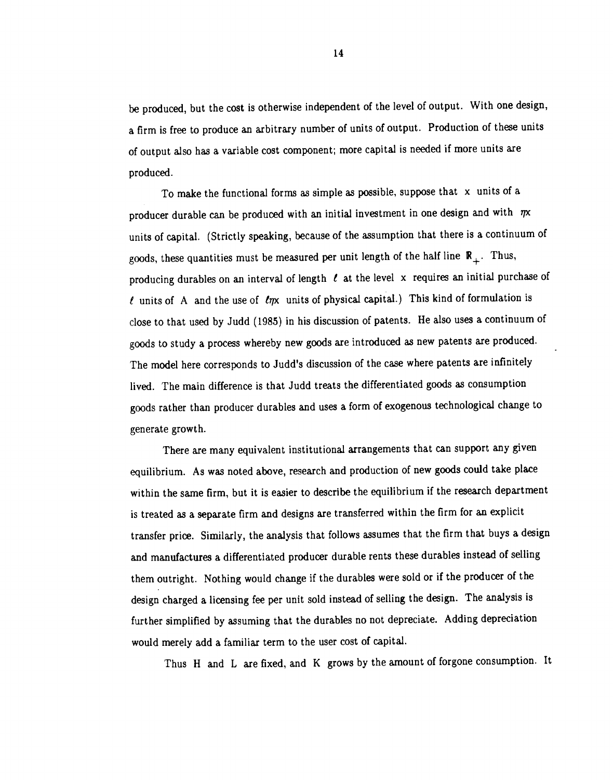be produced, but the cost is otherwise independent of the level of output. With one design, a firm is free to produce an arbitrary number of units of output. Production of these units of output also has a variable cost component; more capital is needed if more units are produced.

To make the functional forms as simple as possible, suppose that x units of a producer durable can be produced with an initial investment in one design and with  $\eta x$ units of capital. (Strictly speaking, because of the assumption that there is a continuum of goods, these quantities must be measured per unit length of the half line  $\mathbb{R}_+$ . Thus, producing durables on an interval of length  $\ell$  at the level x requires an initial purchase of  $\ell$  units of A and the use of  $\ell$ m units of physical capital.) This kind of formulation is close to that used by Judd (1985) in his discussion of patents. He also uses a continuum of goods to study a process whereby new goods are introduced as new patents are produced. The model here corresponds to Judd's discussion of the case where patents are infinitely lived. The main difference is that Judd treats the differentiated goods as consumption goods rather than producer durables and uses a form of exogenous technological change to generate growth.

There are many equivalent institutional arrangements that can support any given equilibrium. As was noted above, research and production of new goods could take place within the same firm, but it is easier to describe the equilibrium if the research department is treated as a separate firm and designs are transferred within the firm for an explicit transfer price. Similarly, the analysis that follows assumes that the firm that buys a design and manufactures a differentiated producer durable rents these durables instead of selling them outright. Nothing would change if the durables were sold or if the producer of the design charged a licensing fee per unit sold instead of selling the design. The analysis is further simplified by assuming that the durables no not depreciate. Adding depreciation would merely add a familiar term to the user cost of capital.

Thus H and L are fixed, and K grows by the amount of forgone consumption. It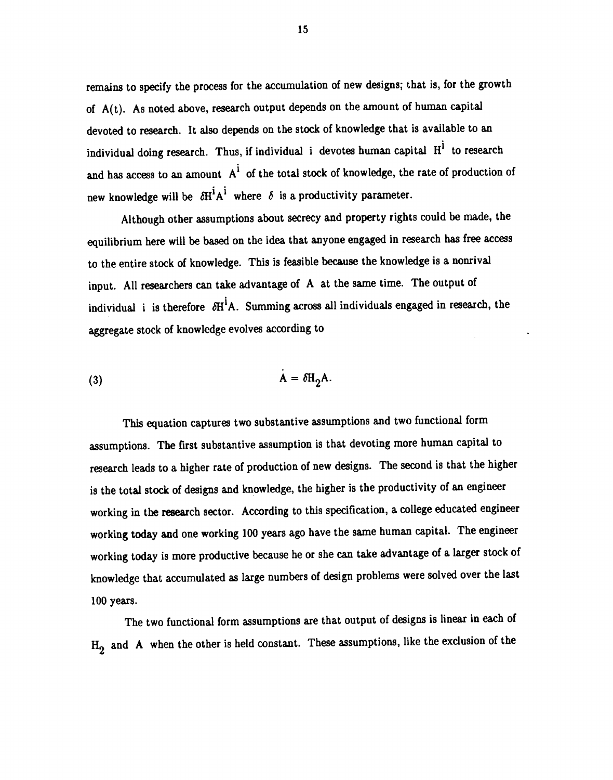remains to specify the process for the accumulation of new designs; that is, for the growth of A(t). As noted above, research output depends on the amount of human capital devoted to research. It also depends on the stock of knowledge that is available to an individual doing research. Thus, if individual i devotes human capital  $H^i$  to research and has access to an amount  $A^i$  of the total stock of knowledge, the rate of production of new knowledge will be  $\delta H^i A^i$  where  $\delta$  is a productivity parameter.

Although other assumptions about secrecy and property rights could be made, the equilibrium here will be based on the idea that anyone engaged in research has free access to the entire stock of knowledge. This is feasible because the knowledge is a nonrival input. All researchers can take advantage of A at the same time. The output of individual i is therefore  $\delta H^{\dot{1}}A$ . Summing across all individuals engaged in research, the aggregate stock of knowledge evolves according to

$$
A = \delta H_2 A.
$$

This equation captures two substantive assumptions and two functional form assumptions. The first substantive assumption is that devoting more human capital to research leads to a higher rate of production of new designs. The second is that the higher is the total stock of designs and knowledge, the higher is the productivity of an engineer working in the research sector. According to this specification, a college educated engineer working today and one working 100 years ago have the same human capital. The engineer working today is more productive because he or she can take advantage of a larger stock of knowledge that accumulated as large numbers of design problems were solved over the last 100 years.

The two functional form assumptions are that output of designs is linear in each of  $H_2$  and A when the other is held constant. These assumptions, like the exclusion of the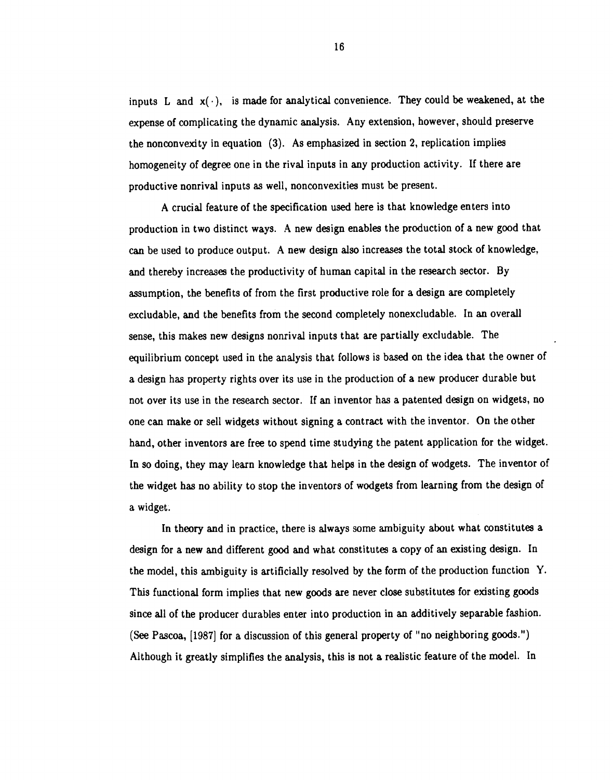inputs L and  $x(\cdot)$ , is made for analytical convenience. They could be weakened, at the expense of complicating the dynamic analysis. Any extension, however, should preserve the nonconvexity in equation (3). As emphasized in section 2, replication implies homogeneity of degree one in the rival inputs in any production activity. If there are productive nonrival inputs as well, nonconvexities must be present.

A crucial feature of the specification used here is that knowledge enters into production in two distinct ways. A new design enables the production of a new good that can be used to produce output. A new design also increases the total stock of knowledge, and thereby increases the productivity of human capital in the research sector. By assumption, the benefits of from the first productive role for a design are completely excludable, and the benefits from the second completely nonexcludable. In an overall sense, this makes new designs nonrival inputs that are partially excludable. The equilibrium concept used in the analysis that follows is based on the idea that the owner of a design has property rights over its use in the production of a new producer durable but not over its use in the research sector. If an inventor has a patented design on widgets, no one can make or sell widgets without signing a contract with the inventor. On the other hand, other inventors are free to spend time studying the patent application for the widget. In so doing, they may learn knowledge that helps in the design of wodgets. The inventor of the widget has no ability to stop the inventors of wodgets from learning from the design of a widget

In theory and in practice, there is always some ambiguity about what constitutes a design for a new and different good and what constitutes a copy of an existing design. In the model, this ambiguity is artificially resolved by the form of the production function Y. This functional form implies that new goods are never close substitutes for existing goods since all of the producer durables enter into production in an additively separable fashion. (See Pascoa, [1987] for a discussion of this general property of "no neighboring goods.") Although it greatly simplifies the analysis, this is not a realistic feature of the model. In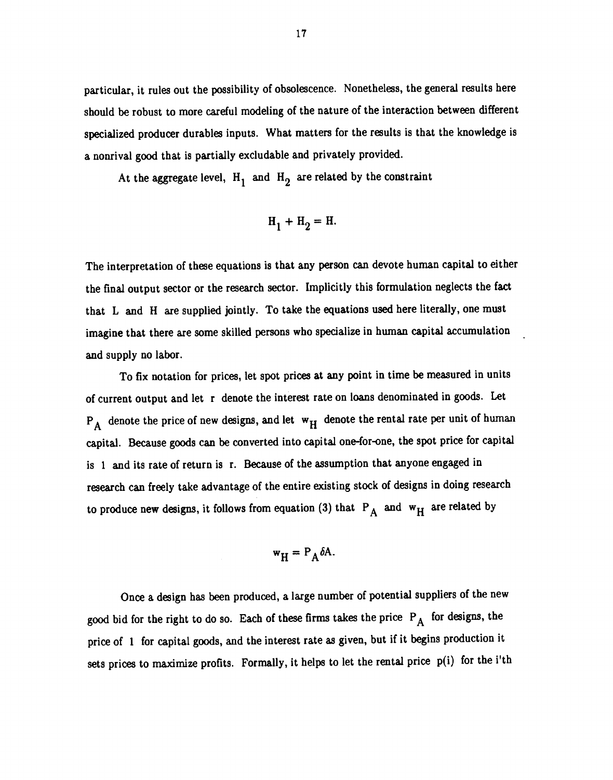particular, it rules out the possibility of obsolescence. Nonetheless, the general results here should be robust to more careful modeling of the nature of the interaction between different specialized producer durables inputs. What matters for the results is that the knowledge is a nonrival good that is partially excludable and privately provided.

At the aggregate level,  $H_1$  and  $H_2$  are related by the constraint

$$
H_1 + H_2 = H.
$$

The interpretation of these equations is that any person can devote human capital to either the final output sector or the research sector. Implicitly this formulation neglects the fact that L and H are supplied jointly. To take the equations used here literally, one must imagine that there are some skilled persons who specialize in human capital accumulation and supply no labor.

To fix notation for prices, let spot prices at any point in time be measured in units of current output and let r denote the interest rate on loans denominated in goods. Let  $P_A$  denote the price of new designs, and let  $W_H$  denote the rental rate per unit of human capital. Because goods can be converted into capital one-for-one, the spot price for capital is 1 and its rate of return is r. Because of the assumption that anyone engaged in research can freely take advantage of the entire existing stock of designs in doing research to produce new designs, it follows from equation (3) that  $P_A$  and  $W_H$  are related by

$$
\mathbf{w}_{\mathbf{H}} = \mathbf{P}_{\mathbf{A}} \delta \mathbf{A}.
$$

Once a design has been produced, a large number of potential suppliers of the new good bid for the right to do so. Each of these firms takes the price  $P_A$  for designs, the price of 1 for capital goods, and the interest rate as given, but if it begins production it sets prices to maximize profits. Formally, it helps to let the rental price p(i) for the i'th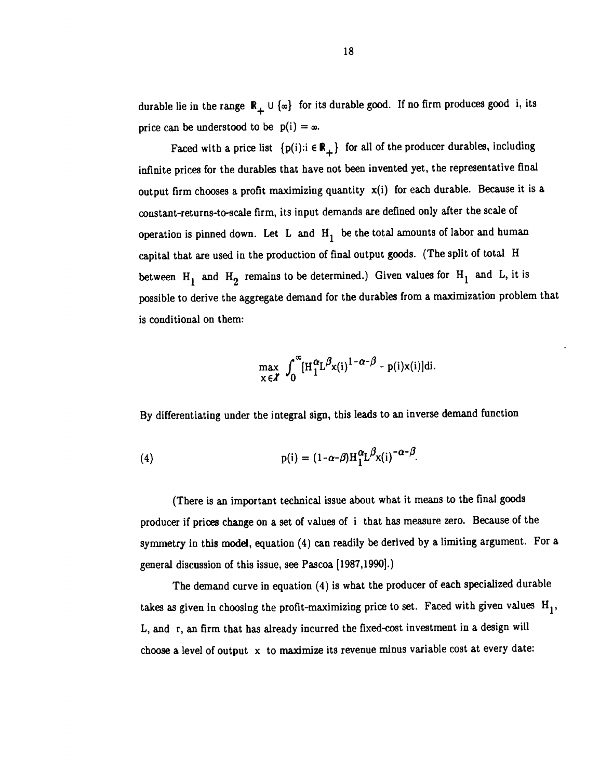durable lie in the range  $\mathbb{R}_+ \cup \{ \infty \}$  for its durable good. If no firm produces good i, its price can be understood to be  $p(i) = \infty$ .

Faced with a price list  $\{p(i): i \in \mathbb{R}_+\}$  for all of the producer durables, including infinite prices for the durables that have not been invented yet, the representative final output firm chooses a profit maximizing quantity x(i) for each durable. Because it is a constant-returns-to-scale firm, its input demands are defined only after the scale of operation is pinned down. Let L and  $H_1$  be the total amounts of labor and human capital that are used in the production of final output goods. (The split of total H between  $H_1$  and  $H_2$  remains to be determined.) Given values for  $H_1$  and L, it is possible to derive the aggregate demand for the durables from a maximization problem that is conditional on them:

$$
\max_{x \in \mathcal{X}} \int_0^\infty [H_1^{\alpha} L^{\beta} x(i)^{1-\alpha-\beta} - p(i)x(i)] \, \mathrm{d}i.
$$

By differentiating under the integral sign, this leads to an inverse demand function

(4) 
$$
p(i) = (1 - \alpha - \beta)H_1^{\alpha}L^{\beta}x(i)^{-\alpha - \beta}.
$$

(There is an important technical issue about what it means to the final goods producer if prices change on a set of values of i that has measure zero. Because of the symmetry in this model, equation (4) can readily be derived by a limiting argument. For a general discussion of this issue, see Pascoa [1987,1990].)

The demand curve in equation (4) is what the producer of each specialized durable takes as given in choosing the profit-maximizing price to set. Faced with given values  $H_1$ , L, and r, an firm that has already incurred the fixed-cost investment in a design will choose a level of output x to maximize its revenue minus variable cost at every date: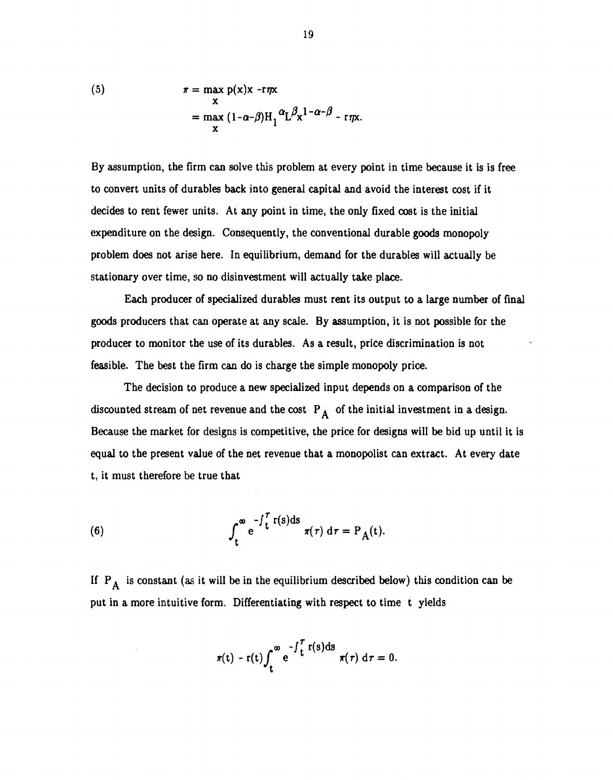(5) 
$$
\pi = \max_{\mathbf{x}} p(\mathbf{x})\mathbf{x} - \mathbf{r}\eta\mathbf{x} \n= \max_{\mathbf{x}} (1 - \alpha - \beta) \mathbf{H}_1^{\alpha} \mathbf{L}^{\beta} \mathbf{x}^{1 - \alpha - \beta} - \mathbf{r}\eta\mathbf{x}.
$$

By assumption, the firm can solve this problem at every point in time because it is is free to convert units of durables back into general capital and avoid the interest cost if it decides to rent fewer units. At any point in time, the only fixed cost is the initial expenditure on the design. Consequently, the conventional durable goods monopoly problem does not arise here. In equilibrium, demand for the durables will actually be stationary over time, so no disinvestment will actually take place.

Each producer of specialized durables must rent its output to a large number of final goods producers that can operate at any scale. By assumption, it is not possible for the producer to monitor the use of its durables. As a result, price discrimination is not feasible. The best the firm can do is charge the simple monopoly price.

The decision to produce a new specialized input depends on a comparison of the discounted stream of net revenue and the cost  $P_A$  of the initial investment in a design. Because the market for designs is competitive, the price for designs will be bid up until it is equal to the present value of the net revenue that a monopolist can extract. At every date t, it must therefore be true that

(6) 
$$
\int_t^{\infty} e^{-\int_t^t r(s) ds} \pi(\tau) d\tau = P_A(t).
$$

If  $P_A$  is constant (as it will be in the equilibrium described below) this condition can be put in a more intuitive form. Differentiating with respect to time t yields

$$
\pi(t) - r(t) \int_t^{\infty} e^{-\int_t^T r(s) ds} \pi(\tau) d\tau = 0.
$$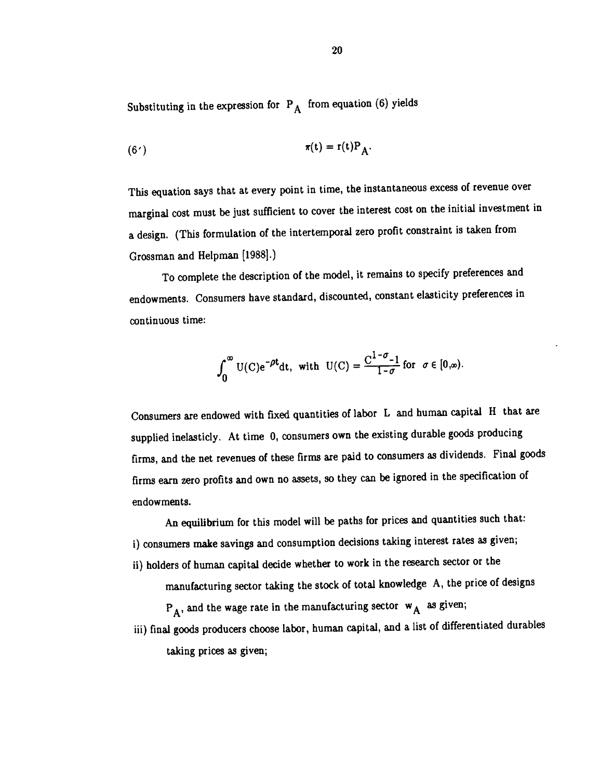Substituting in the expression for  $P_A$  from equation (6) yields

$$
\pi(t) = r(t)P_A.
$$

This equation says that at every point in time, the instantaneous excess of revenue over marginal cost must be just sufficient to cover the interest cost on the initial investment in a design. (This formulation of the intertemporal zero profit constraint is taken from Grossman and Helpman [1988].)

To complete the description of the model, it remains to specify preferences and endowments. Consumers have standard, discounted, constant elasticity preferencesin continuous time:

$$
\int_0^\infty U(C)e^{-\rho t}dt, \text{ with } U(C) = \frac{C^{1-\sigma}-1}{1-\sigma} \text{ for } \sigma \in [0,\infty).
$$

Consumers are endowed with fixed quantities of labor L and human capital H that are supplied inelasticly. At time 0, consumers own the existing durable goods producing firms, and the net revenues of these firms are paid to consumers as dividends. Final goods firms earn zero profits and own no assets, so they can be ignored in the specificationof endowments.

An equilibrium for this model will be paths for prices and quantities such that: i) consumers make savings and consumption decisions taking interest rates as given;

ii) holders of human capital decide whether to work in the research sector or the manufacturing sector taking the stock of total knowledge A, the price of designs

 $P_A$ , and the wage rate in the manufacturing sector  $w_A$  as given;

iii) final goods producers choose labor, human capital, and a list of differentiated durables taking prices as given;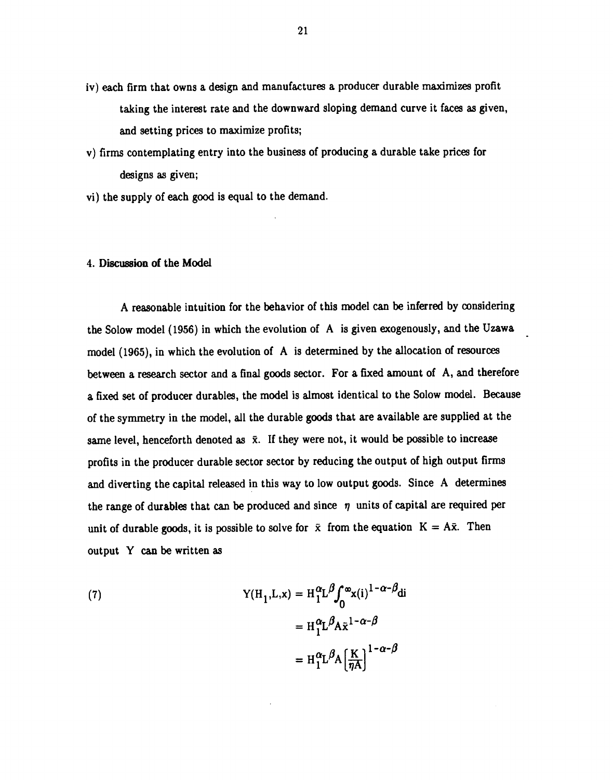- iv) each firm that owns a design and manufactures a producer durable maximizes profit taking the interest rate and the downward sloping demand curve it faces as given, and setting prices to maximize profits;
- v) firms contemplating entry into the business of producing a durable take prices for designs as given;
- vi) the supply of each good is equal to the demand.

### 4. Dicusion of the Mode!

A reasonable intuition for the behavior of this model can be inferred by considering the Solow model (1956) in which the evolution of A is given exogenously, and the Uzawa model (1965), in which the evolution of A is determined by the allocation of resources between a research sector and a final goods sector. For a fixed amount of A, and therefore a fixed set of producer durables, the model is almost identical to the Solow model. Because of the symmetry in the model, all the durable goods that are available are supplied at the same level, henceforth denoted as  $\bar{x}$ . If they were not, it would be possible to increase profits in the producer durable sector sector by reducing the output of high output firms and diverting the capital released in this way to low output goods. Since A determines the range of durables that can be produced and since  $\eta$  units of capital are required per unit of durable goods, it is possible to solve for  $\bar{x}$  from the equation  $K = A\bar{x}$ . Then output Y can be written as

(7)  
\n
$$
Y(H_1, L, x) = H_1^{\alpha} L^{\beta} \int_0^{\infty} x(i)^{1 - \alpha - \beta} di
$$
\n
$$
= H_1^{\alpha} L^{\beta} A \bar{x}^{1 - \alpha - \beta}
$$
\n
$$
= H_1^{\alpha} L^{\beta} A \left[ \frac{K}{\eta A} \right]^{1 - \alpha - \beta}
$$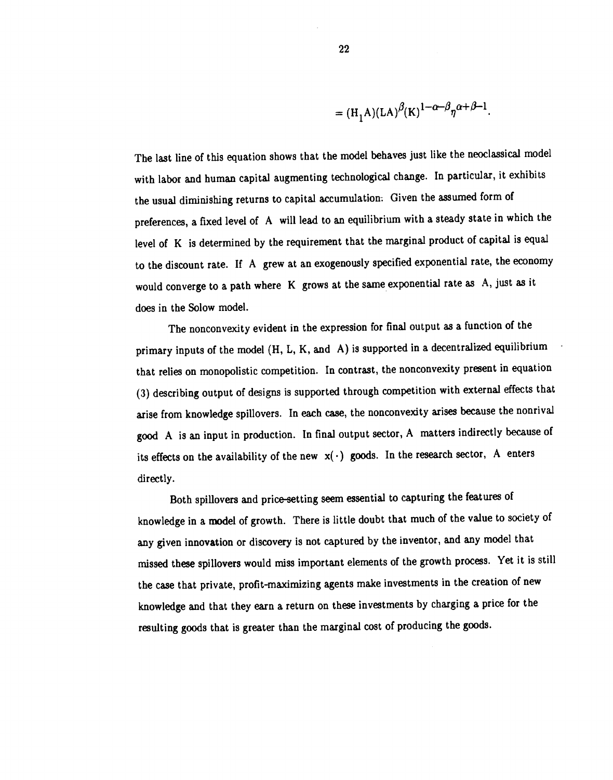$$
= (H1A)(LA)\beta(K)1-\alpha-\beta\eta^{\alpha+\beta-1}.
$$

The last line of this equation shows that the model behaves just like the neoclassical model with labor and human capital augmenting technological change. In particular, it exhibits the usual diminishing returns to capital accumulation; Given the assumed formof preferences, a fixed level of A will lead to an equilibrium with a steady state in which the level of K is determined by the requirement that the marginal product of capital is equal to the discount rate. If A grew at an exogenously specified exponential rate, the economy would converge to a path where K grows at the same exponential rate as A, just as it does in the Solow model.

The nonconvexity evident in the expression for final output as a function of the primary inputs of the model (H, L, K, and A) is supported in a decentralized equilibrium that relies on monopolistic competition. In contrast, the nonconvexity present in equation (3) describing output of designs is supported through competition with external effects that arise from knowledge spillovers. In each case, the nonconvexity arises because the nonrival good A is an input in production. In final output sector, A matters indirectly because of its effects on the availability of the new  $x(\cdot)$  goods. In the research sector, A enters directly.

Both spillovers and price-setting seem essential to capturing the features of knowledge in a model of growth. There is little doubt that much of the value to society of any given innovation or discovery is not captured by the inventor, and any model that missed these spillovers would miss important elements of the growth process. Yet it is still the case that private, profit-maximizing agents make investments in the creation of new knowledge and that they earn a return on these investments by charging a price for the resulting goods that is greater than the marginal cost of producing the goods.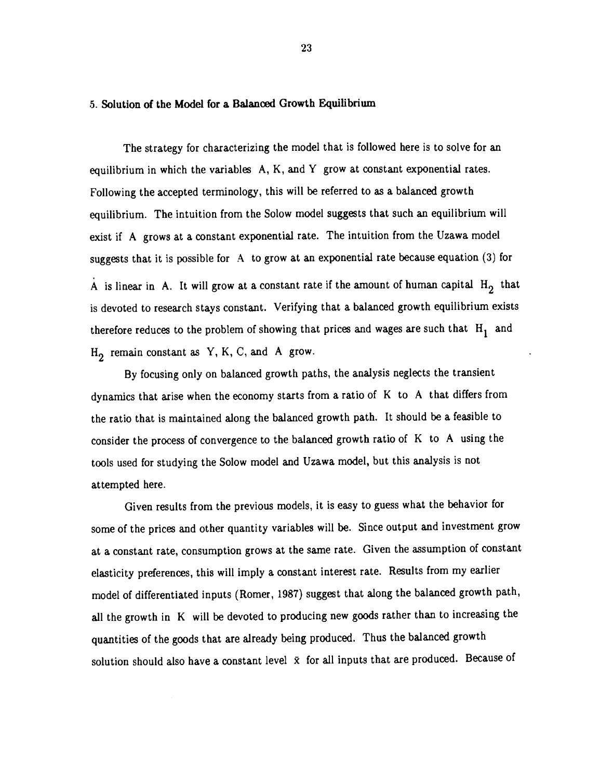### 5. Solution of the Model for a Balanced Growth Equilibrium

The strategy for characterizing the model that is followed here is to solve for an equilibrium in which the variables A, K, and Y grow at constant exponential rates. Following the accepted terminology, this will be referred to as a balanced growth equilibrium. The intuition from the Solow model suggests that such an equilibrium will exist if A grows at a constant exponential rate. The intuition from the Uzawa model suggests that it is possible for A to grow at an exponential rate because equation (3) for A is linear in A. It will grow at a constant rate if the amount of human capital  $H_2$  that is devoted to research stays constant. Verifying that a balanced growth equilibrium exists therefore reduces to the problem of showing that prices and wages are such that  $H_1$  and  $H<sub>2</sub>$  remain constant as Y, K, C, and A grow.

By focusing only on balanced growth paths, the analysis neglects the transient dynamics that arise when the economy starts from a ratio of K to A that differs from the ratio that is maintained along the balanced growth path. It should be a feasible to consider the process of convergence to the balanced growth ratio of K to A using the tools used for studying the Solow model and Uzawa model, but this analysis is not attempted here.

Given results from the previous models, it is easy to guess what the behavior for some of the prices and other quantity variables will be. Since output and investment grow at a constant rate, consumption grows at the same rate. Given the assumption of constant elasticity preferences, this will imply a constant interest rate. Results from my earlier model of differentiated inputs (Romer, 1987) suggest that along the balanced growth path, all the growth in K will be devoted to producing new goods rather than to increasing the quantities of the goods that are already being produced. Thus the balanced growth solution should also have a constant level  $\bar{x}$  for all inputs that are produced. Because of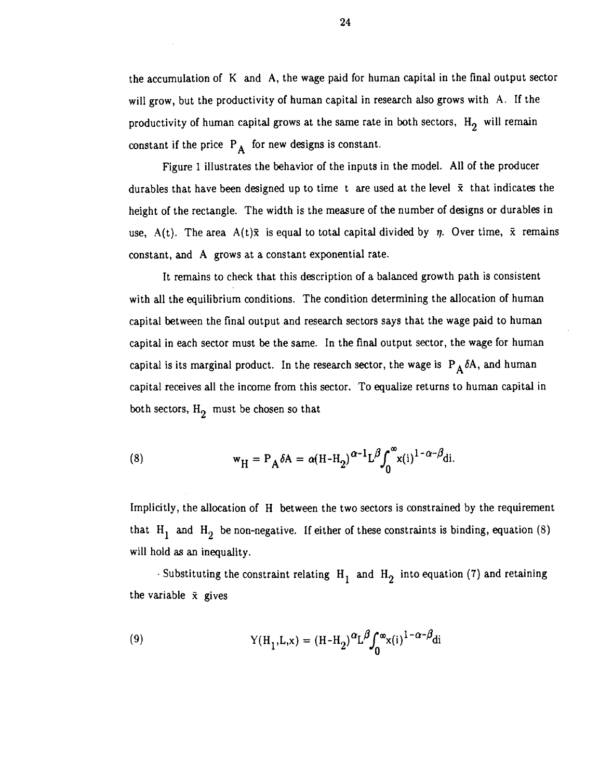the accumulation of K and A, the wage paid for human capital in the final output sector will grow, but the productivity of human capital in research also grows with A. If the productivity of human capital grows at the same rate in both sectors,  $H_2$  will remain constant if the price  $P_A$  for new designs is constant.

Figure 1 illustrates the behavior of the inputs in the model. All of the producer durables that have been designed up to time t are used at the level  $\bar{x}$  that indicates the height of the rectangle. The width is the measure of the number of designs or durables in use, A(t). The area A(t) $\bar{x}$  is equal to total capital divided by  $\eta$ . Over time,  $\bar{x}$  remains constant, and A grows at a constant exponential rate.

It remains to check that this description of a balanced growth path is consistent with all the equilibrium conditions. The condition determining the allocation of human capital between the final output and research sectors says that the wage paid to human capital in each sector must be the same. In the final output sector, the wage for human capital is its marginal product. In the research sector, the wage is  $P_A\delta A$ , and human capital receives all the income from this sector. To equalize returns to human capital in both sectors,  $H_2$  must be chosen so that

(8) 
$$
w_H = P_A \delta A = \alpha (H - H_2) \alpha^{-1} L^{\beta} \int_0^{\infty} x(i)^{1 - \alpha - \beta} di.
$$

Implicitly, the allocation of H between the two sectors is constrained by the requirement that H<sub>1</sub> and H<sub>2</sub> be non-negative. If either of these constraints is binding, equation (8) will hold as an inequality.

- Substituting the constraint relating  $H_1$  and  $H_2$  into equation (7) and retaining the variable  $\bar{x}$  gives

(9) 
$$
Y(H_1, L, x) = (H - H_2)^{\alpha} L^{\beta} \int_0^{\infty} x(i)^{1 - \alpha - \beta} di
$$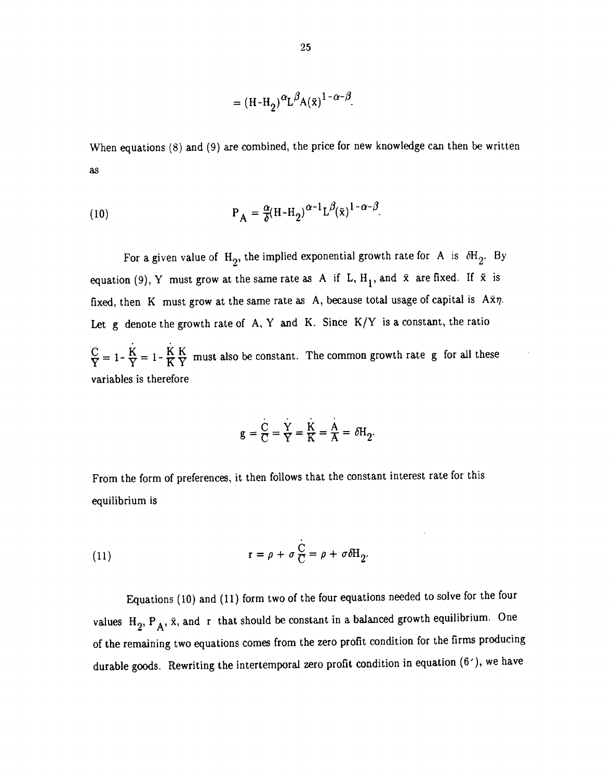$$
= (H - H_2)^{\alpha} L^{\beta} A(\bar{x})^{1 - \alpha - \beta}.
$$

When equations (8) and (9) are combined, the price for new knowledge can then be written as

(10) 
$$
P_{A} = \frac{\alpha}{\delta} (H - H_2)^{\alpha - 1} L^{\beta} (\bar{x})^{1 - \alpha - \beta}
$$

For a given value of H<sub>2</sub>, the implied exponential growth rate for A is  $\delta H_2$ . By equation (9), Y must grow at the same rate as A if L, H<sub>1</sub>, and  $\bar{x}$  are fixed. If  $\bar{x}$  is fixed, then K must grow at the same rate as A, because total usage of capital is  $A\bar{x}\eta$ . Let g denote the growth rate of A, Y and K. Since  $K/Y$  is a constant, the ratio  $\frac{C}{Y} = 1 - \frac{K}{Y} = 1 - \frac{K}{K} \frac{K}{Y}$  must also be constant. The common growth rate g for all these variables is therefore

$$
g = \frac{C}{C} = \frac{Y}{Y} = \frac{K}{K} = \frac{A}{A} = \delta H_2.
$$

From the form of preferences, it then follows that the constant interest rate for this equilibrium is

(11) 
$$
r = \rho + \sigma \frac{\dot{C}}{C} = \rho + \sigma \delta H_2.
$$

Equations (10) and (11) form two of the four equations needed to solve for the four values  $H_2$ ,  $P_A$ ,  $\bar{x}$ , and r that should be constant in a balanced growth equilibrium. One of the remaining two equations comes from the zero profit condition for the firms producing durable goods. Rewriting the intertemporal zero profit condition in equation  $(6')$ , we have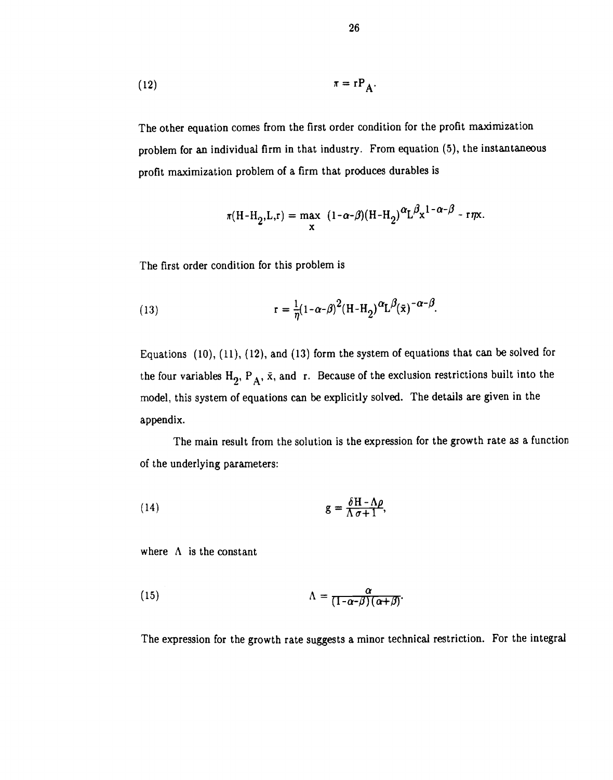$$
\pi = rP_{\mathbf{A}}.
$$

The other equation comes from the first order condition for the profit maximization problem for an individual firm in that industry. From equation (5), the instantaneous profit maximization problem of a firm that produces durables is

$$
\pi(H-H_2,L,r) = \max_{\mathbf{x}} (1-\alpha-\beta)(H-H_2)^{\alpha}L^{\beta}x^{1-\alpha-\beta} - r\eta x.
$$

The first order condition for this problem is

(13) 
$$
r = \frac{1}{\eta} (1 - \alpha - \beta)^2 (H - H_2) {\alpha_L \beta(\bar{x})}^{-\alpha - \beta}.
$$

Equations (10), (11), (12), and (13) form the system of equations that can be solved for the four variables  $H_2$ ,  $P_A$ ,  $\bar{x}$ , and r. Because of the exclusion restrictions built into the model, this system of equations can be explicitly solved. The details are given in the appendix.

The main result from the solution is the expression for the growth rate as a function of the underlying parameters:

$$
g = \frac{\delta H - \Lambda \rho}{\Lambda \sigma + 1},
$$

where  $\Lambda$  is the constant

(15) 
$$
\Lambda = \frac{\alpha}{(1-\alpha-\beta)(\alpha+\beta)}.
$$

The expression for the growth rate suggests a minor technical restriction. For the integral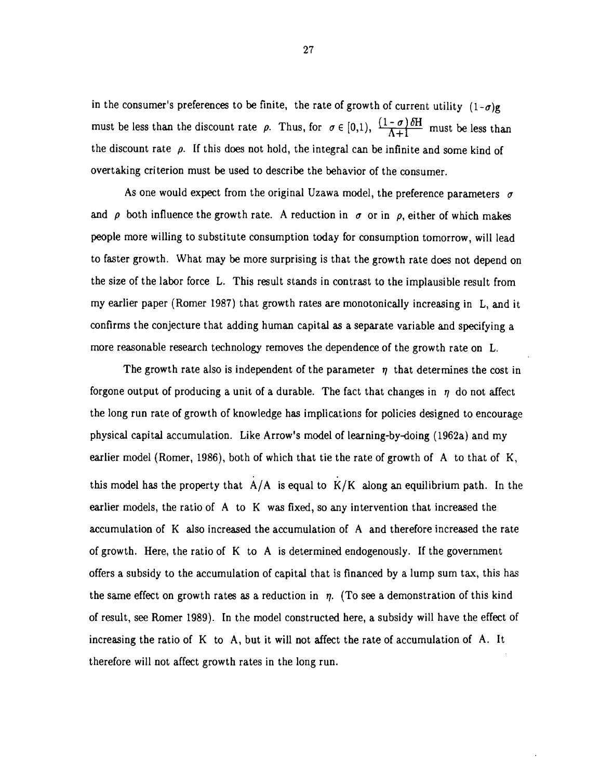in the consumer's preferences to be finite, the rate of growth of current utility  $(1-\sigma)g$ must be less than the discount rate  $\rho$ . Thus, for  $\sigma \in [0,1)$ ,  $\frac{(1-\sigma)\delta H}{\Delta+1}$  must be less than the discount rate  $\rho$ . If this does not hold, the integral can be infinite and some kind of overtaking criterion must be used to describe the behavior of the consumer.

As one would expect from the original Uzawa model, the preference parameters  $\sigma$ and  $\rho$  both influence the growth rate. A reduction in  $\sigma$  or in  $\rho$ , either of which makes people more willing to substitute consumption today for consumption tomorrow, will lead to faster growth. What may be more surprising is that the growth rate does not depend on the size of the labor force L. This result stands in contrast to the implausible result from my earlier paper (Romer 1987) that growth rates are monotonically increasing in L, and it confirms the conjecture that adding human capital as a separate variable and specifying a more reasonable research technology removes the dependence of the growth rate on L.

The growth rate also is independent of the parameter  $\eta$  that determines the cost in forgone output of producing a unit of a durable. The fact that changes in  $\eta$  do not affect the long run rate of growth of knowledge has implications for policies designed to encourage physical capital accumulation. Like Arrow's model of learning-by-doing (1962a) and my earlier model (Romer, 1986), both of which that tie the rate of growth of A to that of K, this model has the property that  $A/A$  is equal to  $K/K$  along an equilibrium path. In the earlier models, the ratio of A to K was fixed, so any intervention that increased the accumulation of K also increased the accumulation of A and therefore increased the rate of growth. Here, the ratio of K to A is determined endogenously. If the government offers a subsidy to the accumulation of capital that is financed by a lump sum tax, this has the same effect on growth rates as a reduction in  $\eta$ . (To see a demonstration of this kind of result, see Romer 1989). In the model constructed here, a subsidy will have the effect of increasing the ratio of K to A, but it will not affect the rate of accumulation of A. It therefore will not affect growth rates in the long run.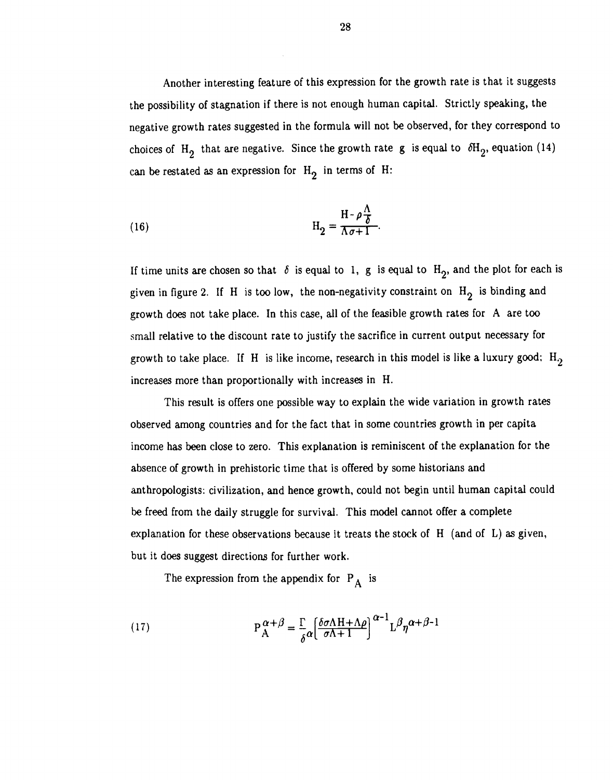Another interesting feature of this expression for the growth rate is that it suggests the possibility of stagnation if there is not enough human capital. Strictly speaking, the negative growth rates suggested in the formula will not be observed, for they correspond to choices of H<sub>2</sub> that are negative. Since the growth rate g is equal to  $\delta H_2$ , equation (14) can be restated as an expression for  $H_2$  in terms of H:

(16) 
$$
H_2 = \frac{H - \rho \frac{\Lambda}{\delta}}{\Lambda \sigma + 1}.
$$

If time units are chosen so that  $\delta$  is equal to 1, g is equal to H<sub>2</sub>, and the plot for each is given in figure 2. If H is too low, the non-negativity constraint on  $H_2$  is binding and growth does not take place. In this case, all of the feasible growth rates for A are too small relative to the discount rate to justify the sacrifice in current output necessary for growth to take place. If H is like income, research in this model is like a luxury good:  $H_2$ increases more than proportionally with increases in H.

This result is offers one possible way to explain the wide variation in growth rates observed among countries and for the fact that in some countries growth in per capita income has been close to zero. This explanation is reminiscent of the explanation for the absence of growth in prehistoric time that is offered by some historians and anthropologists: civilization, and hence growth, could not begin until human capital could be freed from the daily struggle for survival. This model cannot offer a complete explanation for these observations because it treats the stock of H (and of L) as given, but it does suggest directions for further work.

The expression from the appendix for  $P_A$  is

(17) 
$$
P_{A}^{\alpha+\beta} = \frac{\Gamma}{\delta \alpha} \left[ \frac{\delta \sigma \Lambda H + \Lambda \rho}{\sigma \Lambda + 1} \right]^{\alpha-1} L^{\beta} \eta^{\alpha+\beta-1}
$$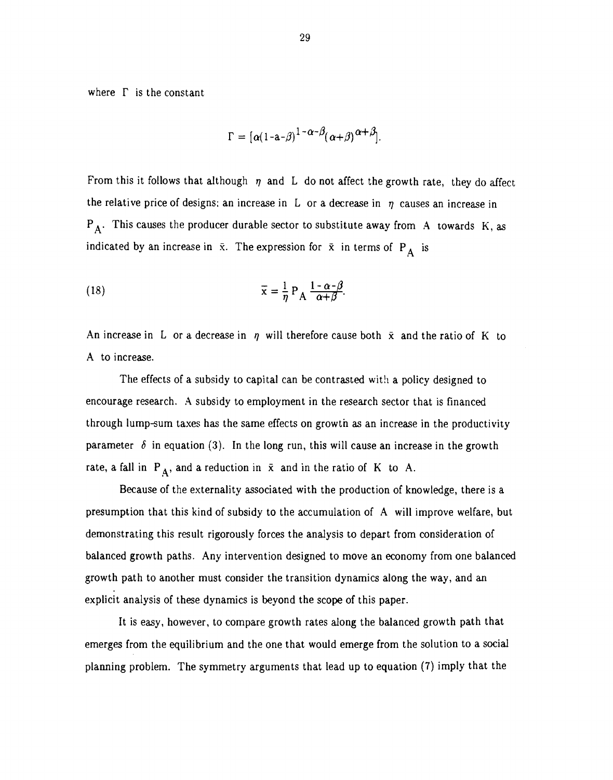where  $\Gamma$  is the constant

$$
\Gamma = [\alpha(1-a-\beta)]^{1-\alpha-\beta}(\alpha+\beta)^{\alpha+\beta}.
$$

From this it follows that although  $\eta$  and L do not affect the growth rate, they do affect the relative price of designs; an increase in L or a decrease in  $\eta$  causes an increase in  $P_A$ . This causes the producer durable sector to substitute away from A towards K, as indicated by an increase in  $\bar{x}$ . The expression for  $\bar{x}$  in terms of  $P_A$  is

(18) 
$$
\overline{x} = \frac{1}{\eta} P_A \frac{1 - \alpha - \beta}{\alpha + \beta}.
$$

An increase in L or a decrease in  $\eta$  will therefore cause both  $\bar{x}$  and the ratio of K to A to increase.

The effects of a subsidy to capital can be contrasted with a policy designed to encourage research. A subsidy to employment in the research sector that is financed through lump-sum taxes has the same effects on growth as an increase in the productivity parameter  $\delta$  in equation (3). In the long run, this will cause an increase in the growth rate, a fall in  $P_A$ , and a reduction in  $\bar{x}$  and in the ratio of K to A.

Because of the externality associated with the production of knowledge, there is a presumption that this kind of subsidy to the accumulation of A will improve welfare, but demonstrating this result rigorously forces the analysis to depart from consideration of balanced growth paths. Any intervention designed to move an economy from one balanced growth path to another must consider the transition dynamics along the way, and an explicit analysis of these dynamics is beyond the scope of this paper.

It is easy, however, to compare growth rates along the balanced growth path that emerges from the equilibrium and the one that would emerge from the solution to a social planning problem. The symmetry arguments that lead up to equation (7) imply that the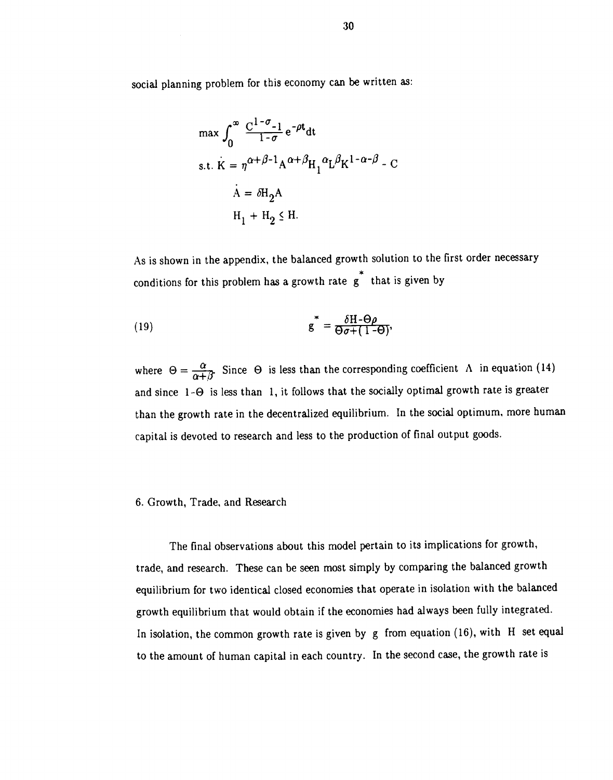social planning problem for this economy can be written as:

$$
\max \int_0^\infty \frac{C^{1-\sigma} - 1}{1-\sigma} e^{-\rho t} dt
$$
  
s.t.  $K = \eta^{\alpha+\beta-1} A^{\alpha+\beta} H_1^{\alpha} L^{\beta} K^{1-\alpha-\beta} - C$   
 $A = \delta H_2 A$   
 $H_1 + H_2 \leq H.$ 

As is shown in the appendix, the balanced growth solution to the first order necessary conditions for this problem has a growth rate  $g^*$  that is given by

(19) 
$$
g^* = \frac{\delta H - \Theta \rho}{\Theta \sigma + (1 - \Theta)},
$$

where  $\Theta = \frac{\alpha}{\alpha + \beta}$ . Since  $\Theta$  is less than the corresponding coefficient  $\Lambda$  in equation (14) and since  $1-\Theta$  is less than 1, it follows that the socially optimal growth rate is greater than the growth rate in the decentralized equilibrium. In the social optimum, more human capital is devoted to research and less to the production of final output goods.

### 6. Growth, Trade, and Research

The final observations about this model pertain to its implications for growth, trade, and research. These can be seen most simply by comparing the balanced growth equilibrium for two identical closed economies that operate in isolation with the balanced growth equilibrium that would obtain if the economies had always been fully integrated. In isolation, the common growth rate is given by g from equation (16), with H set equal to the amount of human capital in each country. In the second case, the growth rate is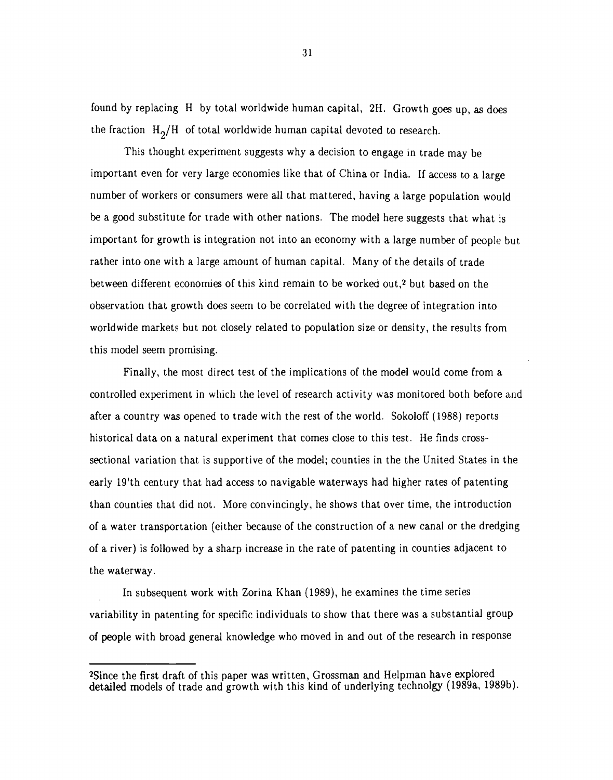found by replacing H by total worldwide human capital, 2H. Growth goes up, as does the fraction  $H_2/H$  of total worldwide human capital devoted to research.

This thought experiment suggests why a decision to engage in trade may be important even for very large economies like that of China or India. If access to a large number of workers or consumers were all that mattered, having a large population would be a good substitute for trade with other nations. The model here suggests that what is important for growth is integration not into an economy with a large number of people but rather into one with a large amount of human capital. Many of the details of trade between different economies of this kind remain to be worked out,2 but based on the observation that growth does seem to be correlated with the degree of integration into worldwide markets but not closely related to population size or density, the results from this model seem promising.

Finally, the most direct test of the implications of the model would come from a controlled experiment in which the level of research activity was monitored both before and after a country was opened to trade with the rest of the world. Sokoloff (1988) reports historical data on a natural experiment that comes close to this test. He finds crosssectional variation that is supportive of the model; counties in the the United States in the early 19'th century that had access to navigable waterways had higher rates of patenting than counties that did not. More convincingly, he shows that over time, the introduction of a water transportation (either because of the construction of a new canal or the dredging of a river) is followed by a sharp increase in the rate of patenting in counties adjacent to the waterway.

In subsequent work with Zorina Khan (1989), he examines the time series variability in patenting for specific individuals to show that there was a substantial group of people with broad general knowledge who moved in and out of the research in response

<sup>2</sup>Since the first draft of this paper was written, Grossman and Helpman have explored detailed models of trade and growth with this kind of underlying technolgy (1989a, 1989b).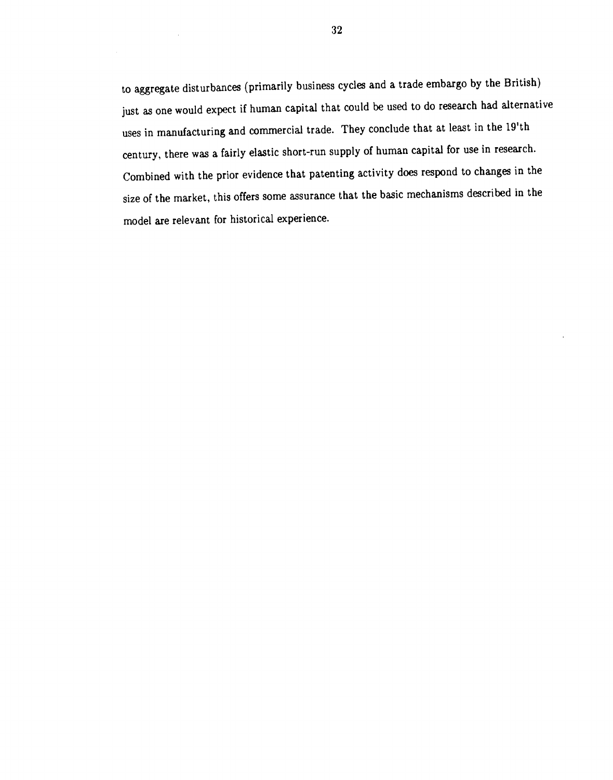to aggregate disturbances (primarily business cycles and a trade embargo by the British) just as one would expect if human capital that could be used to do research had alternative uses in manufacturing and commercial trade. They conclude that at least in the 19'th century, there was a fairly elastic short-run supply of human capital for use in research. Combined with the prior evidence that patenting activity does respond to changesin the size of the market, this offers some assurance that the basic mechanisms described in the model are relevant for historical experience.

 $\bar{\mathcal{A}}$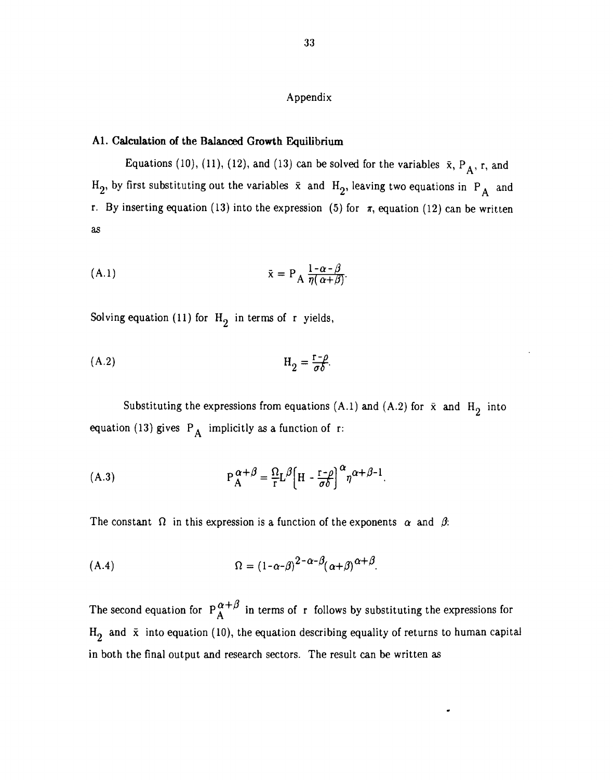### Appendix

### Al. Calculation of the Balanced Growth Equilibrium

Equations (10), (11), (12), and (13) can be solved for the variables  $\bar{x}$ ,  $P_A$ , r, and  $H_2$ , by first substituting out the variables  $\bar{x}$  and  $H_2$ , leaving two equations in  $P_A$  and r. By inserting equation (13) into the expression (5) for  $\pi$ , equation (12) can be written as

$$
\bar{x} = P_A \frac{1 - \alpha - \beta}{\eta(\alpha + \beta)}.
$$

Solving equation (11) for  $H_2$  in terms of r yields,

$$
H_2 = \frac{r - \rho}{\sigma \delta}.
$$

Substituting the expressions from equations (A.1) and (A.2) for  $\bar{x}$  and H<sub>2</sub> into equation (13) gives  $P_A$  implicitly as a function of r:

(A.3) 
$$
P_{A}^{\alpha+\beta} = \frac{\Omega}{r} L^{\beta} \Big[ H - \frac{r-\rho}{\sigma \delta} \Big]^{\alpha} \eta^{\alpha+\beta-1}.
$$

The constant  $\Omega$  in this expression is a function of the exponents  $\alpha$  and  $\beta$ :

$$
\Omega = (1 - \alpha - \beta)^{2 - \alpha - \beta} (\alpha + \beta)^{\alpha + \beta}.
$$

The second equation for  $P_{A}^{\alpha+\beta}$  in terms of r follows by substituting the expressions for  $H_2$  and  $\bar{x}$  into equation (10), the equation describing equality of returns to human capital in both the final output and research sectors. The result can be written as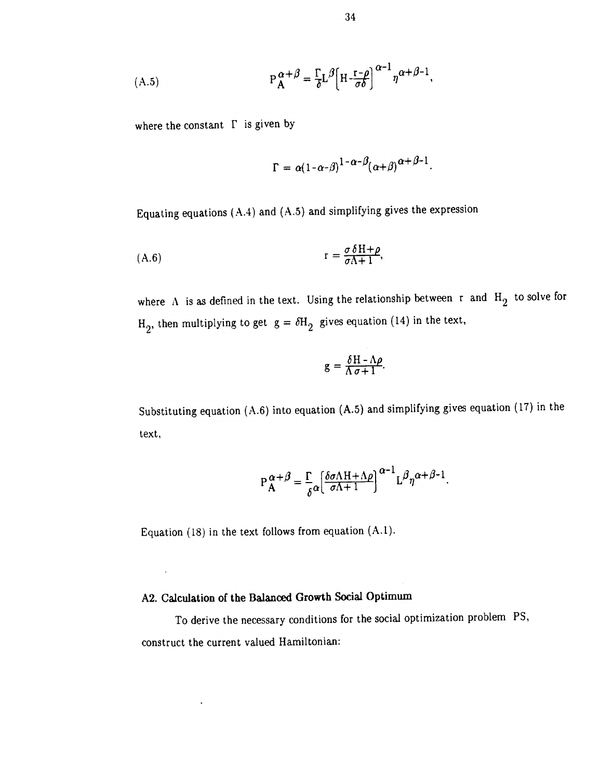(A.5) 
$$
P_{A}^{\alpha+\beta} = \frac{\Gamma}{\delta} L^{\beta} \Big[ H - \frac{r-\rho}{\sigma \delta} \Big]^{\alpha-1} \eta^{\alpha+\beta-1},
$$

where the constant  $\Gamma$  is given by

$$
\Gamma = \alpha (1-\alpha-\beta)^{1-\alpha-\beta} (\alpha+\beta)^{\alpha+\beta-1}.
$$

Equating equations (A.4) and (A.5) and simplifying gives the expression

$$
r = \frac{\sigma \, \delta H + \rho}{\sigma \Lambda + 1},
$$

where  $\Lambda$  is as defined in the text. Using the relationship between r and  $H_2$  to solve for  $H_2$ , then multiplying to get  $g = \delta H_2$  gives equation (14) in the text,

$$
g=\frac{\delta H-\Lambda\rho}{\Lambda\sigma+1}.
$$

Substituting equation (A.6) into equation (A.5) and simplifying gives equation (17) in the text,

$$
P_{A}^{\alpha+\beta} = \frac{\Gamma}{\delta} \alpha \left[ \frac{\delta \sigma \Lambda H + \Lambda \rho}{\sigma \Lambda + 1} \right]^{\alpha-1} L^{\beta} \eta^{\alpha+\beta-1}.
$$

Equation  $(18)$  in the text follows from equation  $(A.1)$ .

 $\mathcal{L}$ 

 $\ddot{\phantom{0}}$ 

# A2. Calculation of the Balanced Growth Social Optimum

To derive the necessary conditions for the social optimization problem PS, construct the current valued Hamiltonian: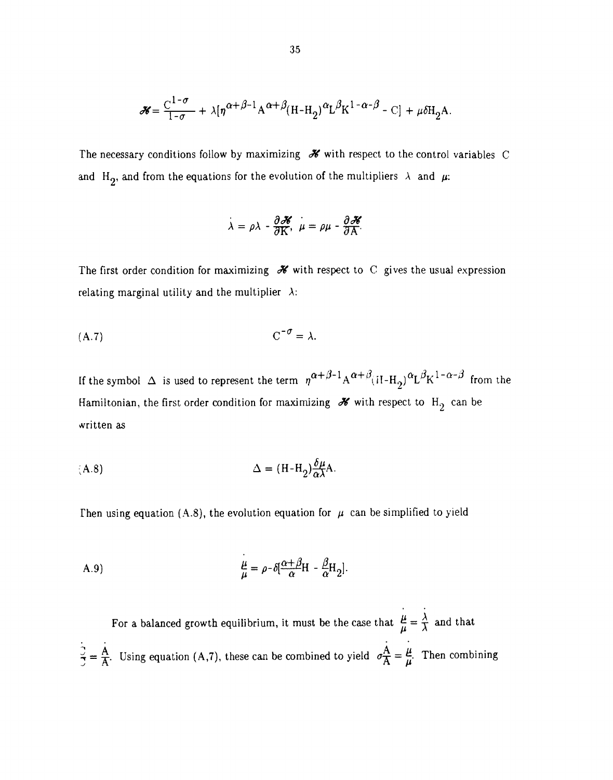$$
\mathcal{K} = \frac{C^{1-\sigma}}{1-\sigma} + \lambda \left[ \eta^{\alpha+\beta-1} A^{\alpha+\beta} (H - H_2)^{\alpha} L^{\beta} K^{1-\alpha-\beta} - C \right] + \mu \delta H_2 A.
$$

The necessary conditions follow by maximizing  $\mathcal X$  with respect to the control variables C and H<sub>2</sub>, and from the equations for the evolution of the multipliers  $\lambda$  and  $\mu$ :

$$
\lambda = \rho \lambda - \frac{\partial \mathcal{K}}{\partial K}, \quad \mu = \rho \mu - \frac{\partial \mathcal{K}}{\partial K}
$$

The first order condition for maximizing  $\mathcal X$  with respect to C gives the usual expression relating marginal utility and the multiplier  $\lambda$ :

$$
C^{-\sigma} = \lambda.
$$

If the symbol  $\Delta$  is used to represent the term  $\eta^{\alpha+\beta-1}A^{\alpha+\beta}(H-H_2)^{\alpha}L^{\beta}K^{1-\alpha-\beta}$  from the Hamiltonian, the first order condition for maximizing  $\mathcal K$  with respect to H<sub>2</sub> can be written as

$$
\Delta = (H - H_2) \frac{\delta \mu}{\alpha \lambda} A.
$$

Then using equation (A.8), the evolution equation for  $\mu$  can be simplified to yield

$$
\mathcal{L}_{\mu} = \rho - \delta \left[ \frac{\alpha + \beta}{\alpha} \mathbf{H} - \frac{\beta}{\alpha} \mathbf{H}_2 \right].
$$

For a balanced growth equilibrium, it must be the case that  $\frac{\mu}{\mu} = \frac{\lambda}{\lambda}$  and that  $\frac{1}{2} = \frac{A}{A}$ . Using equation (A,7), these can be combined to yield  $\sigma \frac{A}{A} = \frac{\mu}{\mu}$ . Then combining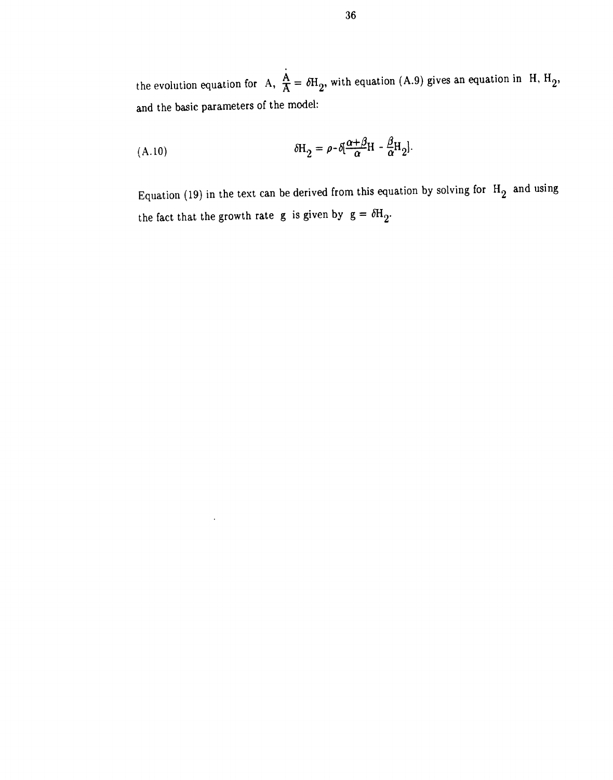the evolution equation for A,  $\frac{A}{A} = \delta H_2$ , with equation (A.9) gives an equation in H,  $H_2$ , and the basic parameters of the model:

(A.10) 
$$
\delta H_2 = \rho - \delta \left[ \frac{\alpha + \beta}{\alpha} H - \frac{\beta}{\alpha} H_2 \right].
$$

 $\epsilon$ 

Equation (19) in the text can be derived from this equation by solving for  $H_2$  and using the fact that the growth rate g is given by  $g = \delta H_2$ .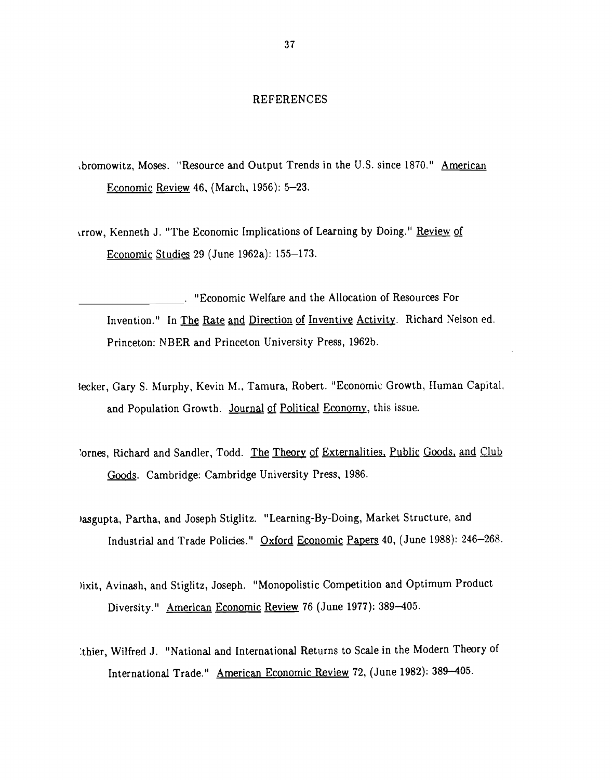### REFERENCES

- Abromowitz, Moses. "Resource and Output Trends in the U.S. since 1870." American Economic Review 46, (March, 1956): 5—23.
- Arrow, Kenneth J. "The Economic Implications of Learning by Doing." Review of Economic Studies 29 (June 1962a): 155—173.
- \_\_\_\_\_\_\_\_\_\_\_\_\_\_\_\_\_\_\_ 'Economic Welfare and the Allocation of Resources For Invention." In The Rate and Direction of Inventive Activity. Richard Nelson ed. Princeton: NBER and Princeton University Press, 1962b.
- ecker, Gary S. Murphy, Kevin M., Tamura, Robert. "Economic Growth, Human Capital. and Population Growth. Journal of Political Economy, this issue.
- 'ornes, Richard and Sandler, Todd. The Theory of Externalities, Public Goods, and Club Goods. Cambridge: Cambridge University Press, 1986.
- asgupta, Partha, and Joseph Stiglitz. "Learning-By-Doing, Market Structure, and Industrial and Trade Policies." Oxford Economic Papers 40, (June 1988): 246–268.
- )ixit, Avinash, and Stiglitz, Joseph. "Monopolistic Competition and Optimum Product Diversity." American Economic Review 76 (June 1977): 389—405.
- thier, Wilfred J. "National and International Returns to Scale in the Modern Theory of International Trade." American Economic Review 72, (June 1982): 389—405.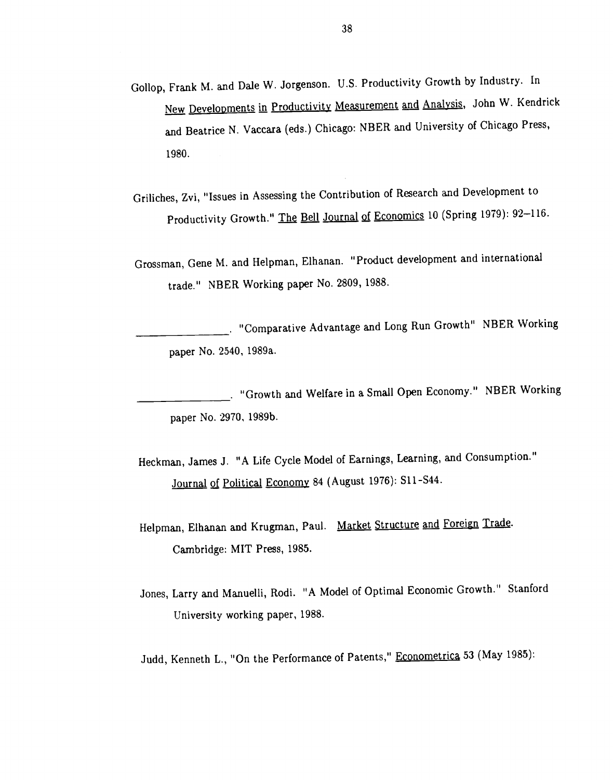- Gollop, Frank M. and Dale W. Jorgenson. U.S. Productivity Growth by Industry. In New Developments in Productivity Measurement and Analysis, John W. Kendrick and Beatrice N. Vaccara (eds.) Chicago: NBER and University of Chicago Press, 1980.
- Griliches, Zvi, "Issues in Assessing the Contribution of Research and Development to Productivity Growth." The Bell Journal of Economics 10 (Spring 1979): 92-116.
- Grossman, Gene M. and Helpman, Elhanan. "Product development and international trade." NBER Working paper No. 2809, 1988.

\_\_\_\_\_\_\_\_\_\_\_\_\_\_\_\_ "Comparative Advantage and Long Run Growth" NBER Working paper No. 2540, 1989a.

**Example 20** Indiana Welfare in a Small Open Economy." NBER Working paper No. 2970, 1989b.

- Heckman, James J. "A Life Cycle Model of Earnings, Learning, and Consumption." Journal of Political Economy 84 (August 1976): S11-S44.
- Helpman, Elhanan and Krugman, Paul. Market Structure and Foreign Trade. Cambridge: MIT Press, 1985.
- Jones, Larry and Manuelli, Rodi. "A Model of Optimal Economic Growth." Stanford University working paper, 1988.

Judd, Kenneth L., "On the Performance of Patents," Econometrica 53 (May 1985):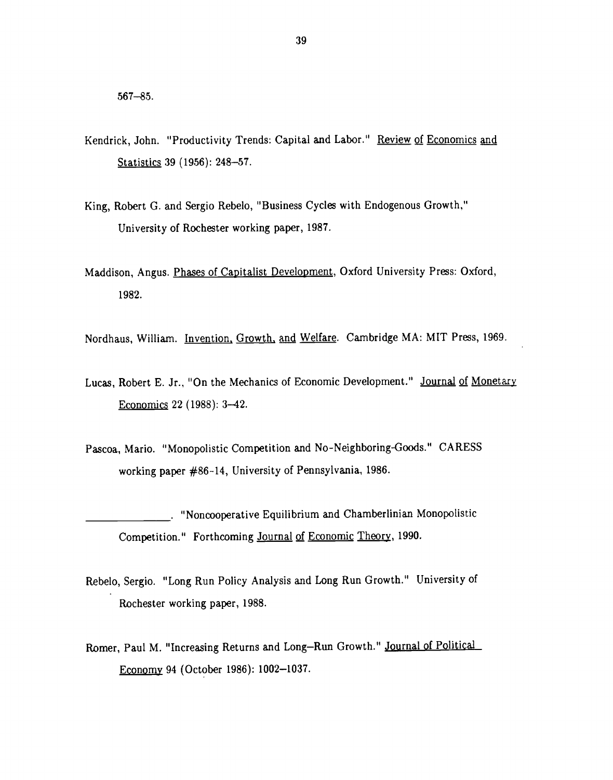567—85.

- Kendrick, John. "Productivity Trends: Capital and Labor." Review of Economics and Statistics 39 (1956): 248—57.
- King, Robert G. and Sergio Rebelo, "Business Cycles with Endogenous Growth," University of Rochester working paper, 1987.
- Maddison, Angus. Phases of Capitalist Development, Oxford University Press: Oxford, 1982.
- Nordhaus, William. Invention, Growth, and Welfare. Cambridge MA: MIT Press, 1969.
- Lucas, Robert E. Jr., "On the Mechanics of Economic Development." Journal of Monetary Economics 22 (1988): 3—42.
- Pascoa, Mario. "Monopolistic Competition and No-Neighboring-Goods." CARESS working paper #86-14, University of Pennsylvania, 1986.
	- \_\_\_\_\_\_\_\_\_\_\_\_\_\_\_ "Noncooperative Equilibrium and Chamberlinian Monopolistic Competition." Forthcoming Journal of Economic Theory, 1990.
- Rebelo, Sergio. "Long Run Policy Analysis and Long Run Growth." University of Rochester working paper, 1988.
- Romer, Paul M. "Increasing Returns and Long—Run Growth." Journal of Political Economy 94 (October 1986): 1002—1037.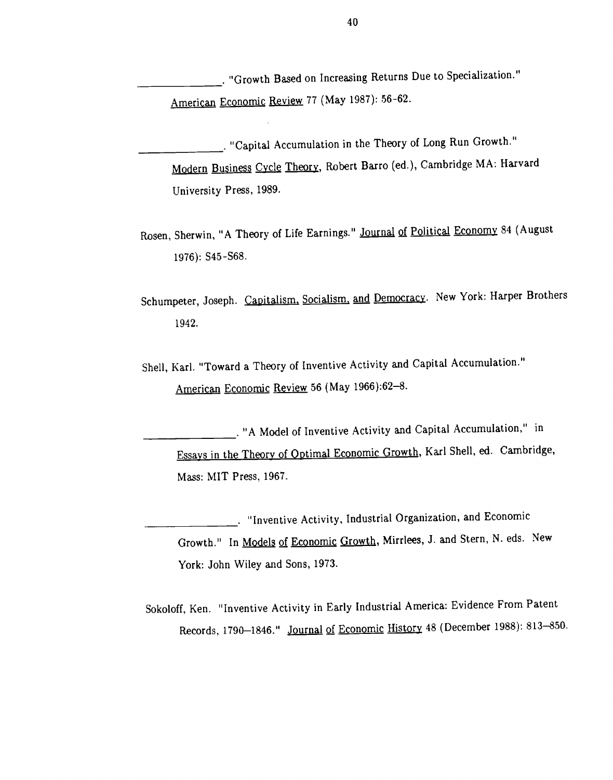\_\_\_\_\_\_\_\_\_\_\_\_\_\_\_ "Growth Based on Increasing Returns Due to Specialization." American Economic Review 77 (May 1987): 56-62.

\_\_\_\_\_\_\_\_\_\_\_\_\_\_\_ "Capital Accumulation in the Theory of Long Run Growth." Modern Business Cycle Theory, Robert Barro (ed.), Cambridge MA: Harvard University Press, 1989.

- Rosen, Sherwin, "A Theory of Life Earnings." Journal of Political Economy 84 (August 1976): S45-S68.
- Schumpeter, Joseph. Capitalism, Socialism, and Democracy. New York: Harper Brothers 1942.
- Shell, Karl. "Toward a Theory of Inventive Activity and Capital Accumulation." American Economic Review 56 (May 1966):62—8.

\_\_\_\_\_\_\_\_\_\_\_\_\_\_\_\_• "A Model of Inventive Activity and Capital Accumulation," in Essays in the Theory of Optimal Economic Growth, Karl Shell, ed. Cambridge, Mass: MIT Press, 1967.

\_\_\_\_\_\_\_\_\_\_\_\_\_\_\_\_\_• "Inventive Activity, Industrial Organization and Economic Growth." In Models of Economic Growth, Mirrlees, J. and Stern, N. eds. New York: John Wiley and Sons, 1973.

Sokoloff, Ken. "Inventive Activity in Early Industrial America: Evidence From Patent Records, 1790—1846." Journal of Economic History 48 (December 1988): 813—850.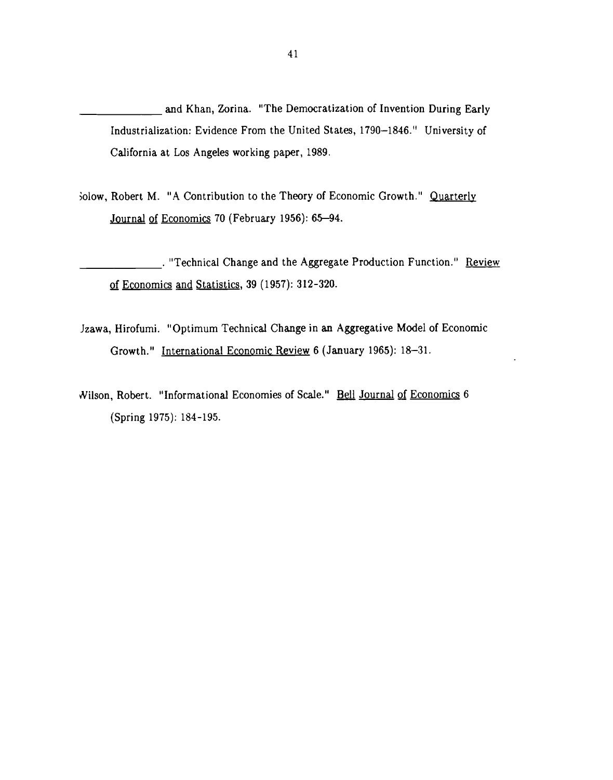and Khan, Zorina. "The Democratization of Invention During Early Industrialization: Evidence From the United States, 1790—1846." University of California at Los Angeles working paper, 1989.

 $solv$ , Robert M. "A Contribution to the Theory of Economic Growth." Quarterly Journal of Economics 70 (February 1956): 65-94.

. "Technical Change and the Aggregate Production Function." Review of Economics and Statistics, 39 (1957): 312-320.

- Jzawa, Hirofumi. "Optimum Technical Change in an Aggregative Model of Economic Growth." International Economic Review 6 (January 1965): 18—31.
- Wilson, Robert. "Informational Economies of Scale." Bell Journal of Economics 6 (Spring 1975): 184-195.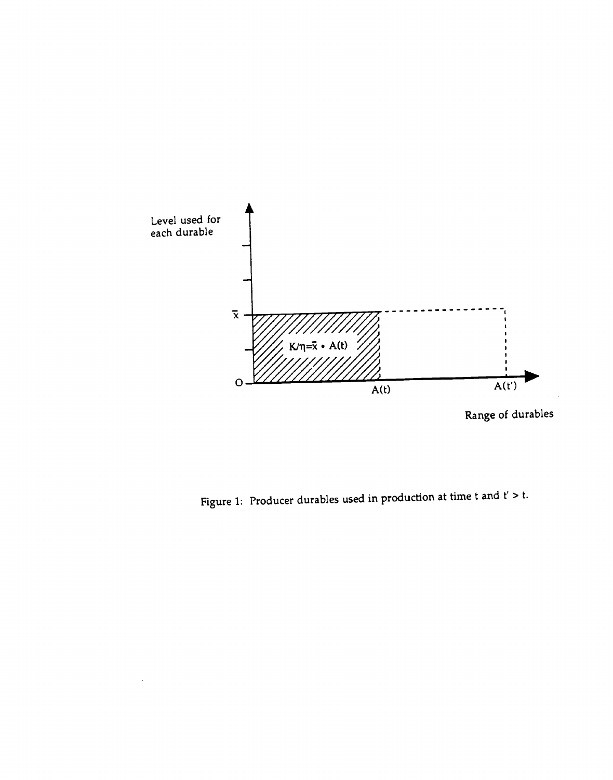

Figure 1: Producer durables used in production at time t and t' > t.